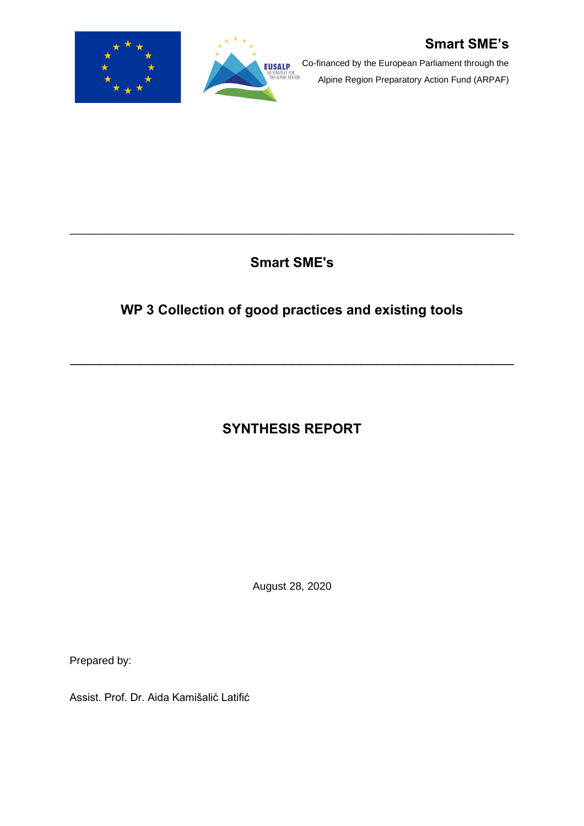

Co-financed by the European Parliament through the Alpine Region Preparatory Action Fund (ARPAF)

**Smart SME's**

\_\_\_\_\_\_\_\_\_\_\_\_\_\_\_\_\_\_\_\_\_\_\_\_\_\_\_\_\_\_\_\_\_\_\_\_\_\_\_\_\_\_\_\_\_\_\_\_\_\_\_\_\_\_\_\_\_\_\_\_\_\_\_\_\_\_\_\_\_\_\_\_\_\_

**EUSALP** 

# **WP 3 Collection of good practices and existing tools**

\_\_\_\_\_\_\_\_\_\_\_\_\_\_\_\_\_\_\_\_\_\_\_\_\_\_\_\_\_\_\_\_\_\_\_\_\_\_\_\_\_\_\_\_\_\_\_\_\_\_\_\_\_\_\_\_\_\_

# **SYNTHESIS REPORT**

August 28, 2020

Prepared by:

Assist. Prof. Dr. Aida Kamišalić Latifić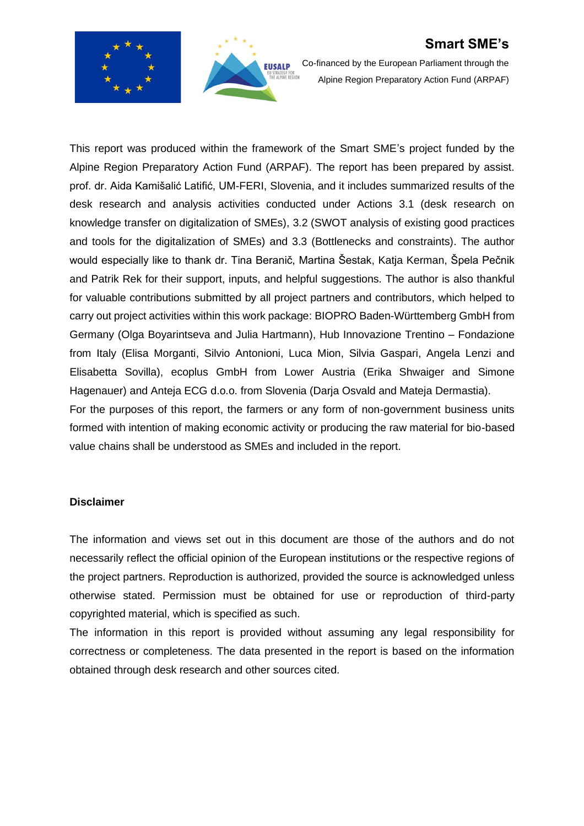



Co-financed by the European Parliament through the Alpine Region Preparatory Action Fund (ARPAF)

This report was produced within the framework of the Smart SME's project funded by the Alpine Region Preparatory Action Fund (ARPAF). The report has been prepared by assist. prof. dr. Aida Kamišalić Latifić, UM-FERI, Slovenia, and it includes summarized results of the desk research and analysis activities conducted under Actions 3.1 (desk research on knowledge transfer on digitalization of SMEs), 3.2 (SWOT analysis of existing good practices and tools for the digitalization of SMEs) and 3.3 (Bottlenecks and constraints). The author would especially like to thank dr. Tina Beranič, Martina Šestak, Katja Kerman, Špela Pečnik and Patrik Rek for their support, inputs, and helpful suggestions. The author is also thankful for valuable contributions submitted by all project partners and contributors, which helped to carry out project activities within this work package: BIOPRO Baden-Württemberg GmbH from Germany (Olga Boyarintseva and Julia Hartmann), Hub Innovazione Trentino – Fondazione from Italy (Elisa Morganti, Silvio Antonioni, Luca Mion, Silvia Gaspari, Angela Lenzi and Elisabetta Sovilla), ecoplus GmbH from Lower Austria (Erika Shwaiger and Simone Hagenauer) and Anteja ECG d.o.o. from Slovenia (Darja Osvald and Mateja Dermastia). For the purposes of this report, the farmers or any form of non-government business units

formed with intention of making economic activity or producing the raw material for bio-based value chains shall be understood as SMEs and included in the report.

#### **Disclaimer**

The information and views set out in this document are those of the authors and do not necessarily reflect the official opinion of the European institutions or the respective regions of the project partners. Reproduction is authorized, provided the source is acknowledged unless otherwise stated. Permission must be obtained for use or reproduction of third-party copyrighted material, which is specified as such.

The information in this report is provided without assuming any legal responsibility for correctness or completeness. The data presented in the report is based on the information obtained through desk research and other sources cited.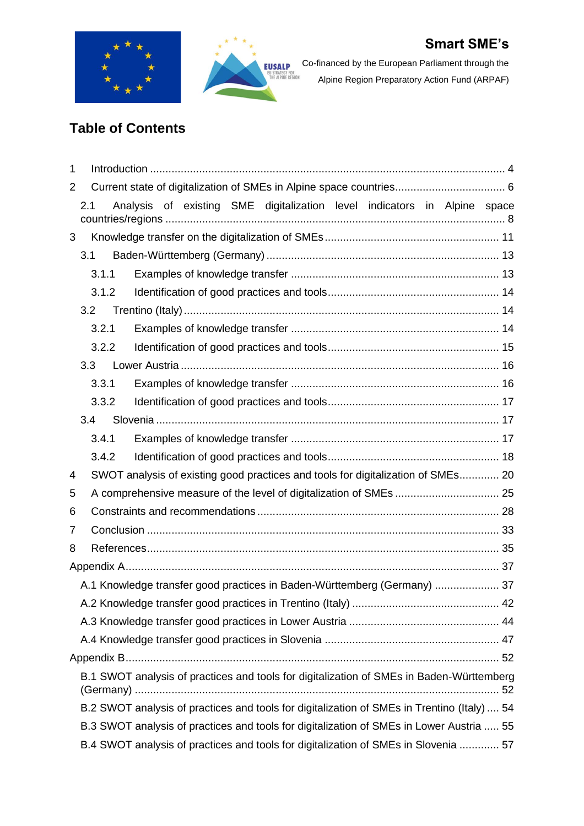



Co-financed by the European Parliament through the Alpine Region Preparatory Action Fund (ARPAF)

# **Table of Contents**

| 1                                                                                   |              |                                                                    |  |  |  |  |  |                                                                                             |  |  |
|-------------------------------------------------------------------------------------|--------------|--------------------------------------------------------------------|--|--|--|--|--|---------------------------------------------------------------------------------------------|--|--|
| 2                                                                                   |              |                                                                    |  |  |  |  |  |                                                                                             |  |  |
|                                                                                     | 2.1          |                                                                    |  |  |  |  |  | Analysis of existing SME digitalization level indicators in Alpine space                    |  |  |
|                                                                                     |              |                                                                    |  |  |  |  |  |                                                                                             |  |  |
| 3                                                                                   |              |                                                                    |  |  |  |  |  |                                                                                             |  |  |
|                                                                                     | 3.1          |                                                                    |  |  |  |  |  |                                                                                             |  |  |
|                                                                                     | 3.1.1        |                                                                    |  |  |  |  |  |                                                                                             |  |  |
|                                                                                     | 3.1.2        |                                                                    |  |  |  |  |  |                                                                                             |  |  |
|                                                                                     | 3.2          |                                                                    |  |  |  |  |  |                                                                                             |  |  |
|                                                                                     | 3.2.1        |                                                                    |  |  |  |  |  |                                                                                             |  |  |
|                                                                                     | 3.2.2        |                                                                    |  |  |  |  |  |                                                                                             |  |  |
|                                                                                     | 3.3          |                                                                    |  |  |  |  |  |                                                                                             |  |  |
|                                                                                     | 3.3.1        |                                                                    |  |  |  |  |  |                                                                                             |  |  |
|                                                                                     | 3.3.2        |                                                                    |  |  |  |  |  |                                                                                             |  |  |
|                                                                                     | 3.4<br>3.4.1 |                                                                    |  |  |  |  |  |                                                                                             |  |  |
|                                                                                     | 3.4.2        |                                                                    |  |  |  |  |  |                                                                                             |  |  |
| 4                                                                                   |              |                                                                    |  |  |  |  |  | SWOT analysis of existing good practices and tools for digitalization of SMEs 20            |  |  |
| 5                                                                                   |              |                                                                    |  |  |  |  |  |                                                                                             |  |  |
| 6                                                                                   |              | A comprehensive measure of the level of digitalization of SMEs  25 |  |  |  |  |  |                                                                                             |  |  |
| 7                                                                                   |              |                                                                    |  |  |  |  |  |                                                                                             |  |  |
| 8                                                                                   |              |                                                                    |  |  |  |  |  |                                                                                             |  |  |
|                                                                                     |              |                                                                    |  |  |  |  |  |                                                                                             |  |  |
|                                                                                     |              |                                                                    |  |  |  |  |  | A.1 Knowledge transfer good practices in Baden-Württemberg (Germany)  37                    |  |  |
|                                                                                     |              |                                                                    |  |  |  |  |  |                                                                                             |  |  |
|                                                                                     |              |                                                                    |  |  |  |  |  |                                                                                             |  |  |
|                                                                                     |              |                                                                    |  |  |  |  |  |                                                                                             |  |  |
|                                                                                     |              |                                                                    |  |  |  |  |  |                                                                                             |  |  |
|                                                                                     |              |                                                                    |  |  |  |  |  | B.1 SWOT analysis of practices and tools for digitalization of SMEs in Baden-Württemberg    |  |  |
|                                                                                     |              |                                                                    |  |  |  |  |  | B.2 SWOT analysis of practices and tools for digitalization of SMEs in Trentino (Italy)  54 |  |  |
|                                                                                     |              |                                                                    |  |  |  |  |  | B.3 SWOT analysis of practices and tools for digitalization of SMEs in Lower Austria  55    |  |  |
| B.4 SWOT analysis of practices and tools for digitalization of SMEs in Slovenia  57 |              |                                                                    |  |  |  |  |  |                                                                                             |  |  |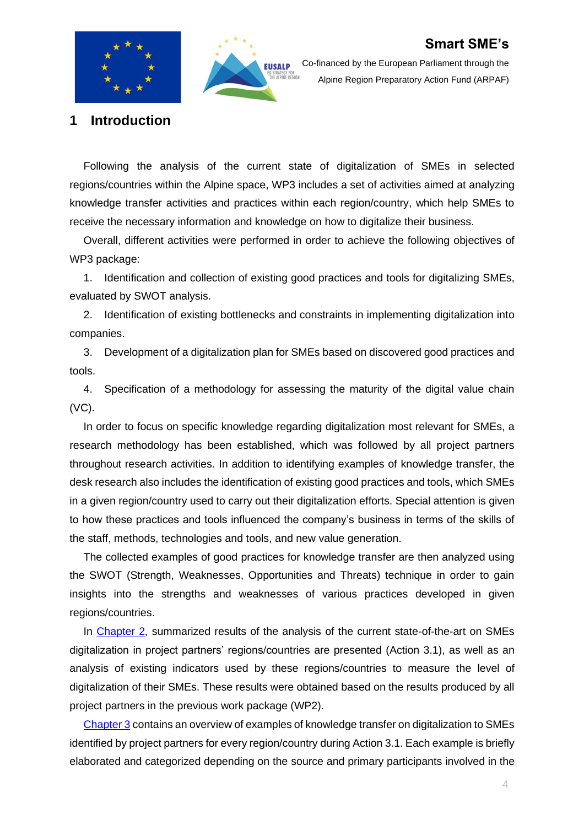



Co-financed by the European Parliament through the Alpine Region Preparatory Action Fund (ARPAF)

<span id="page-3-0"></span>**1 Introduction**

Following the analysis of the current state of digitalization of SMEs in selected regions/countries within the Alpine space, WP3 includes a set of activities aimed at analyzing knowledge transfer activities and practices within each region/country, which help SMEs to receive the necessary information and knowledge on how to digitalize their business.

Overall, different activities were performed in order to achieve the following objectives of WP3 package:

1. Identification and collection of existing good practices and tools for digitalizing SMEs, evaluated by SWOT analysis.

2. Identification of existing bottlenecks and constraints in implementing digitalization into companies.

3. Development of a digitalization plan for SMEs based on discovered good practices and tools.

4. Specification of a methodology for assessing the maturity of the digital value chain (VC).

In order to focus on specific knowledge regarding digitalization most relevant for SMEs, a research methodology has been established, which was followed by all project partners throughout research activities. In addition to identifying examples of knowledge transfer, the desk research also includes the identification of existing good practices and tools, which SMEs in a given region/country used to carry out their digitalization efforts. Special attention is given to how these practices and tools influenced the company's business in terms of the skills of the staff, methods, technologies and tools, and new value generation.

The collected examples of good practices for knowledge transfer are then analyzed using the SWOT (Strength, Weaknesses, Opportunities and Threats) technique in order to gain insights into the strengths and weaknesses of various practices developed in given regions/countries.

In [Chapter](#page-5-0) 2, summarized results of the analysis of the current state-of-the-art on SMEs digitalization in project partners' regions/countries are presented (Action 3.1), as well as an analysis of existing indicators used by these regions/countries to measure the level of digitalization of their SMEs. These results were obtained based on the results produced by all project partners in the previous work package (WP2).

[Chapter 3](#page-10-0) contains an overview of examples of knowledge transfer on digitalization to SMEs identified by project partners for every region/country during Action 3.1. Each example is briefly elaborated and categorized depending on the source and primary participants involved in the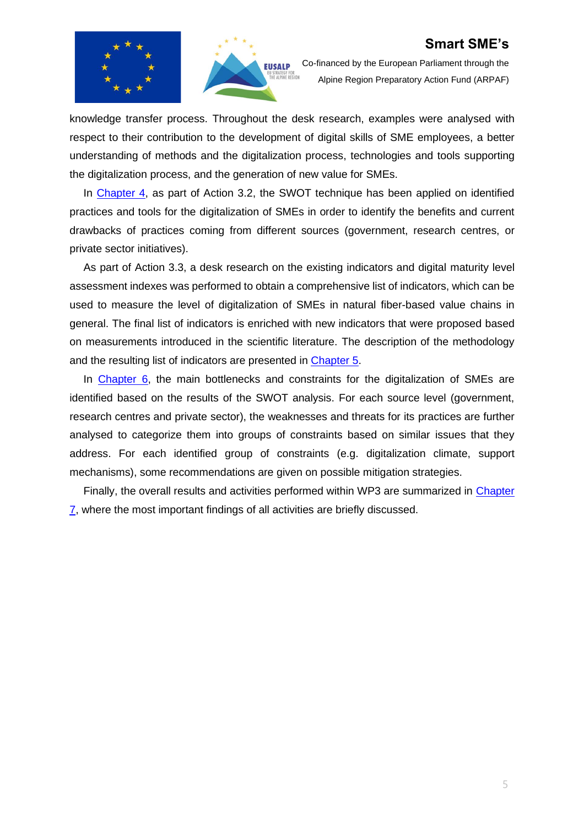



Co-financed by the European Parliament through the Alpine Region Preparatory Action Fund (ARPAF)

knowledge transfer process. Throughout the desk research, examples were analysed with respect to their contribution to the development of digital skills of SME employees, a better understanding of methods and the digitalization process, technologies and tools supporting the digitalization process, and the generation of new value for SMEs.

In [Chapter 4,](#page-19-0) as part of Action 3.2, the SWOT technique has been applied on identified practices and tools for the digitalization of SMEs in order to identify the benefits and current drawbacks of practices coming from different sources (government, research centres, or private sector initiatives).

As part of Action 3.3, a desk research on the existing indicators and digital maturity level assessment indexes was performed to obtain a comprehensive list of indicators, which can be used to measure the level of digitalization of SMEs in natural fiber-based value chains in general. The final list of indicators is enriched with new indicators that were proposed based on measurements introduced in the scientific literature. The description of the methodology and the resulting list of indicators are presented in [Chapter 5.](#page-24-0)

In [Chapter 6,](#page-27-0) the main bottlenecks and constraints for the digitalization of SMEs are identified based on the results of the SWOT analysis. For each source level (government, research centres and private sector), the weaknesses and threats for its practices are further analysed to categorize them into groups of constraints based on similar issues that they address. For each identified group of constraints (e.g. digitalization climate, support mechanisms), some recommendations are given on possible mitigation strategies.

Finally, the overall results and activities performed within WP3 are summarized in [Chapter](#page-32-0)   $\overline{7}$ , where the most important findings of all activities are briefly discussed.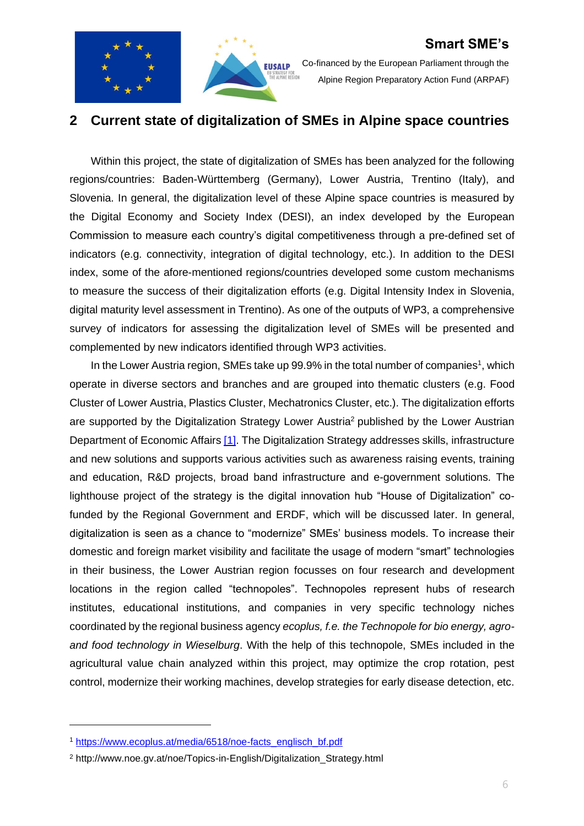



Co-financed by the European Parliament through the Alpine Region Preparatory Action Fund (ARPAF)

### <span id="page-5-0"></span>**2 Current state of digitalization of SMEs in Alpine space countries**

Within this project, the state of digitalization of SMEs has been analyzed for the following regions/countries: Baden-Württemberg (Germany), Lower Austria, Trentino (Italy), and Slovenia. In general, the digitalization level of these Alpine space countries is measured by the Digital Economy and Society Index (DESI), an index developed by the European Commission to measure each country's digital competitiveness through a pre-defined set of indicators (e.g. connectivity, integration of digital technology, etc.). In addition to the DESI index, some of the afore-mentioned regions/countries developed some custom mechanisms to measure the success of their digitalization efforts (e.g. Digital Intensity Index in Slovenia, digital maturity level assessment in Trentino). As one of the outputs of WP3, a comprehensive survey of indicators for assessing the digitalization level of SMEs will be presented and complemented by new indicators identified through WP3 activities.

In the Lower Austria region, SMEs take up 99.9% in the total number of companies<sup>1</sup>, which operate in diverse sectors and branches and are grouped into thematic clusters (e.g. Food Cluster of Lower Austria, Plastics Cluster, Mechatronics Cluster, etc.). The digitalization efforts are supported by the Digitalization Strategy Lower Austria<sup>2</sup> published by the Lower Austrian Department of Economic Affairs [\[1\].](#page-34-1) The Digitalization Strategy addresses skills, infrastructure and new solutions and supports various activities such as awareness raising events, training and education, R&D projects, broad band infrastructure and e-government solutions. The lighthouse project of the strategy is the digital innovation hub "House of Digitalization" cofunded by the Regional Government and ERDF, which will be discussed later. In general, digitalization is seen as a chance to "modernize" SMEs' business models. To increase their domestic and foreign market visibility and facilitate the usage of modern "smart" technologies in their business, the Lower Austrian region focusses on four research and development locations in the region called "technopoles". Technopoles represent hubs of research institutes, educational institutions, and companies in very specific technology niches coordinated by the regional business agency *ecoplus, f.e. the Technopole for bio energy, agroand food technology in Wieselburg*. With the help of this technopole, SMEs included in the agricultural value chain analyzed within this project, may optimize the crop rotation, pest control, modernize their working machines, develop strategies for early disease detection, etc.

<sup>1</sup> [https://www.ecoplus.at/media/6518/noe-facts\\_englisch\\_bf.pdf](https://www.ecoplus.at/media/6518/noe-facts_englisch_bf.pdf)

<sup>2</sup> http://www.noe.gv.at/noe/Topics-in-English/Digitalization\_Strategy.html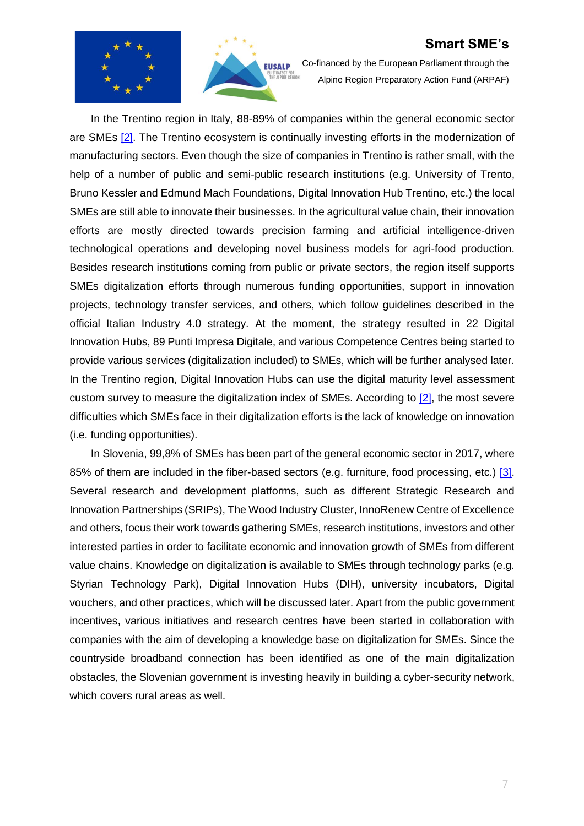



Co-financed by the European Parliament through the Alpine Region Preparatory Action Fund (ARPAF)

In the Trentino region in Italy, 88-89% of companies within the general economic sector are SMEs [\[2\].](#page-34-2) The Trentino ecosystem is continually investing efforts in the modernization of manufacturing sectors. Even though the size of companies in Trentino is rather small, with the help of a number of public and semi-public research institutions (e.g. University of Trento, Bruno Kessler and Edmund Mach Foundations, Digital Innovation Hub Trentino, etc.) the local SMEs are still able to innovate their businesses. In the agricultural value chain, their innovation efforts are mostly directed towards precision farming and artificial intelligence-driven technological operations and developing novel business models for agri-food production. Besides research institutions coming from public or private sectors, the region itself supports SMEs digitalization efforts through numerous funding opportunities, support in innovation projects, technology transfer services, and others, which follow guidelines described in the official Italian Industry 4.0 strategy. At the moment, the strategy resulted in 22 Digital Innovation Hubs, 89 Punti Impresa Digitale, and various Competence Centres being started to provide various services (digitalization included) to SMEs, which will be further analysed later. In the Trentino region, Digital Innovation Hubs can use the digital maturity level assessment custom survey to measure the digitalization index of SMEs. According to [\[2\],](#page-34-2) the most severe difficulties which SMEs face in their digitalization efforts is the lack of knowledge on innovation (i.e. funding opportunities).

In Slovenia, 99,8% of SMEs has been part of the general economic sector in 2017, where 85% of them are included in the fiber-based sectors (e.g. furniture, food processing, etc.) [\[3\].](#page-34-3) Several research and development platforms, such as different Strategic Research and Innovation Partnerships (SRIPs), The Wood Industry Cluster, InnoRenew Centre of Excellence and others, focus their work towards gathering SMEs, research institutions, investors and other interested parties in order to facilitate economic and innovation growth of SMEs from different value chains. Knowledge on digitalization is available to SMEs through technology parks (e.g. Styrian Technology Park), Digital Innovation Hubs (DIH), university incubators, Digital vouchers, and other practices, which will be discussed later. Apart from the public government incentives, various initiatives and research centres have been started in collaboration with companies with the aim of developing a knowledge base on digitalization for SMEs. Since the countryside broadband connection has been identified as one of the main digitalization obstacles, the Slovenian government is investing heavily in building a cyber-security network, which covers rural areas as well.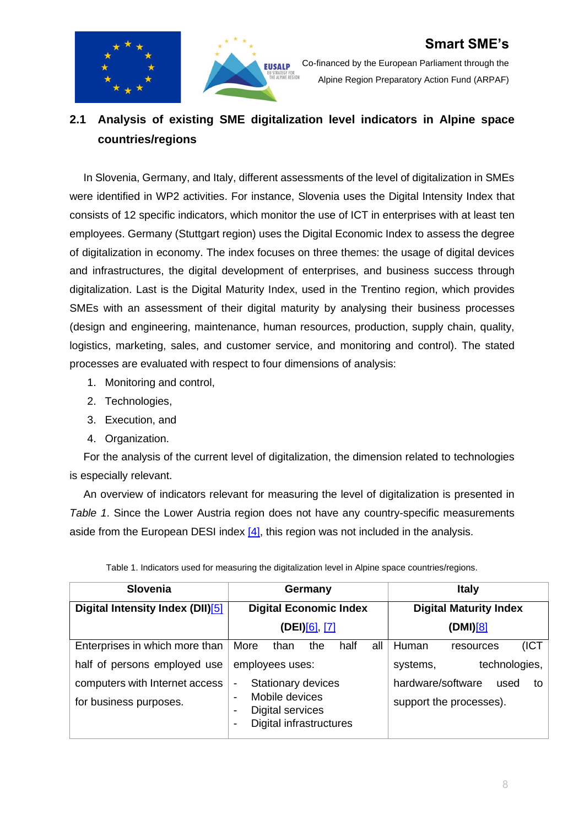



Co-financed by the European Parliament through the Alpine Region Preparatory Action Fund (ARPAF)

### <span id="page-7-0"></span>**2.1 Analysis of existing SME digitalization level indicators in Alpine space countries/regions**

In Slovenia, Germany, and Italy, different assessments of the level of digitalization in SMEs were identified in WP2 activities. For instance, Slovenia uses the Digital Intensity Index that consists of 12 specific indicators, which monitor the use of ICT in enterprises with at least ten employees. Germany (Stuttgart region) uses the Digital Economic Index to assess the degree of digitalization in economy. The index focuses on three themes: the usage of digital devices and infrastructures, the digital development of enterprises, and business success through digitalization. Last is the Digital Maturity Index, used in the Trentino region, which provides SMEs with an assessment of their digital maturity by analysing their business processes (design and engineering, maintenance, human resources, production, supply chain, quality, logistics, marketing, sales, and customer service, and monitoring and control). The stated processes are evaluated with respect to four dimensions of analysis:

- 1. Monitoring and control,
- 2. Technologies,
- 3. Execution, and
- 4. Organization.

For the analysis of the current level of digitalization, the dimension related to technologies is especially relevant.

An overview of indicators relevant for measuring the level of digitalization is presented in *[Table 1](#page-7-1)*. Since the Lower Austria region does not have any country-specific measurements aside from the European DESI index [\[4\],](#page-34-4) this region was not included in the analysis.

<span id="page-7-1"></span>

| <b>Slovenia</b>                  | Germany                                                                                   | <b>Italy</b>                    |  |  |  |
|----------------------------------|-------------------------------------------------------------------------------------------|---------------------------------|--|--|--|
| Digital Intensity Index (DII)[5] | <b>Digital Economic Index</b>                                                             | <b>Digital Maturity Index</b>   |  |  |  |
|                                  | (DEI) <u>[6], [7]</u>                                                                     | (DMI)[8]                        |  |  |  |
| Enterprises in which more than   | More<br>all<br>the<br>half<br>than                                                        | (ICT<br>Human<br>resources      |  |  |  |
| half of persons employed use     | employees uses:                                                                           | technologies,<br>systems,       |  |  |  |
| computers with Internet access   | Stationary devices<br>-                                                                   | hardware/software<br>used<br>to |  |  |  |
| for business purposes.           | Mobile devices<br>Digital services<br>Digital infrastructures<br>$\overline{\phantom{0}}$ | support the processes).         |  |  |  |

Table 1. Indicators used for measuring the digitalization level in Alpine space countries/regions.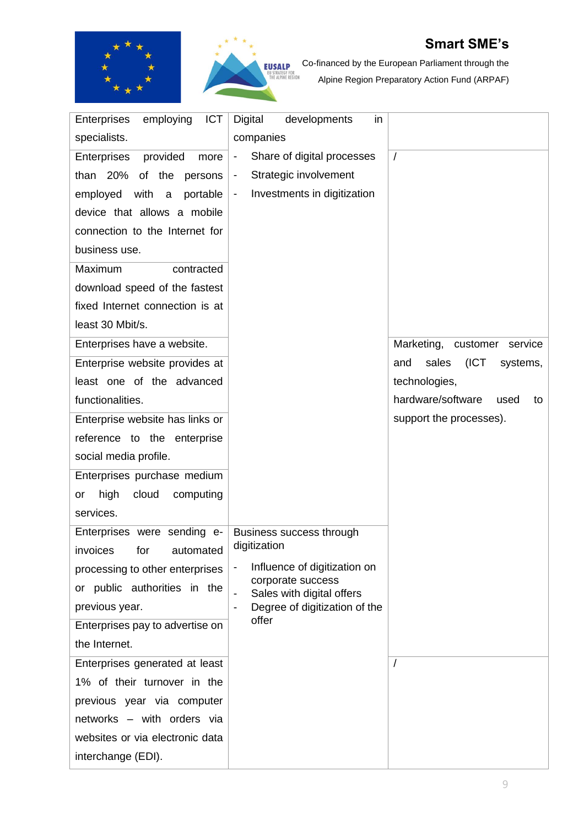



Co-financed by the European Parliament through the Alpine Region Preparatory Action Fund (ARPAF)

| employing<br><b>ICT</b><br><b>Enterprises</b> | Digital<br>in<br>developments                          |                                   |
|-----------------------------------------------|--------------------------------------------------------|-----------------------------------|
|                                               |                                                        |                                   |
| specialists.                                  | companies                                              |                                   |
| provided<br>Enterprises<br>more               | Share of digital processes<br>$\overline{\phantom{a}}$ | $\sqrt{ }$                        |
| than $20\%$<br>of the<br>persons              | Strategic involvement<br>۰                             |                                   |
| employed with<br>portable<br>$\mathsf{a}$     | Investments in digitization<br>$\blacksquare$          |                                   |
| device that allows a mobile                   |                                                        |                                   |
| connection to the Internet for                |                                                        |                                   |
| business use.                                 |                                                        |                                   |
| Maximum<br>contracted                         |                                                        |                                   |
| download speed of the fastest                 |                                                        |                                   |
| fixed Internet connection is at               |                                                        |                                   |
| least 30 Mbit/s.                              |                                                        |                                   |
| Enterprises have a website.                   |                                                        | Marketing, customer<br>service    |
| Enterprise website provides at                |                                                        | sales<br>(ICT)<br>and<br>systems, |
| least one of the advanced                     |                                                        | technologies,                     |
| functionalities.                              |                                                        | hardware/software<br>used<br>to   |
| Enterprise website has links or               |                                                        | support the processes).           |
| reference to the enterprise                   |                                                        |                                   |
| social media profile.                         |                                                        |                                   |
| Enterprises purchase medium                   |                                                        |                                   |
| high<br>cloud<br>computing<br>or              |                                                        |                                   |
| services.                                     |                                                        |                                   |
| Enterprises were sending e-                   | Business success through                               |                                   |
| invoices for automated                        | digitization                                           |                                   |
| processing to other enterprises               | Influence of digitization on                           |                                   |
| or public authorities in the                  | corporate success<br>Sales with digital offers         |                                   |
| previous year.                                | Degree of digitization of the                          |                                   |
| Enterprises pay to advertise on               | offer                                                  |                                   |
| the Internet.                                 |                                                        |                                   |
| Enterprises generated at least                |                                                        |                                   |
| 1% of their turnover in the                   |                                                        |                                   |
| previous year via computer                    |                                                        |                                   |
| networks - with orders via                    |                                                        |                                   |
| websites or via electronic data               |                                                        |                                   |
| interchange (EDI).                            |                                                        |                                   |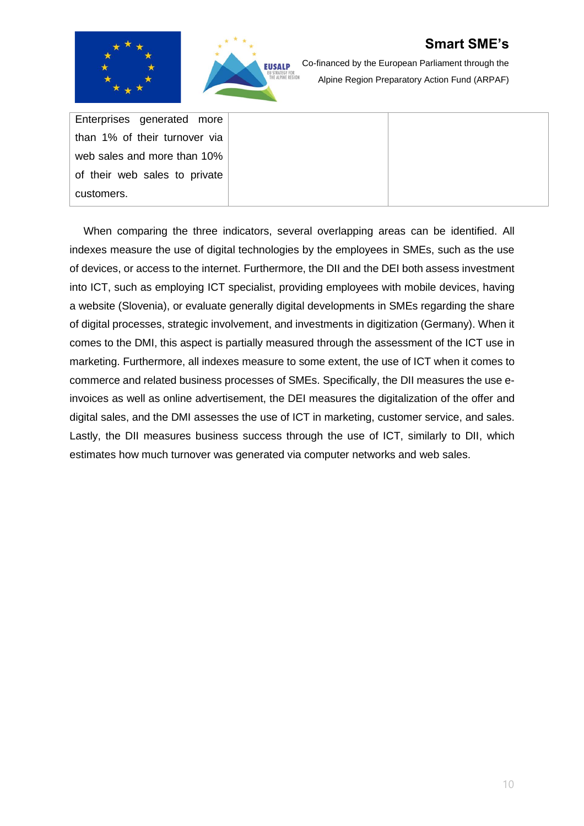

Co-financed by the European Parliament through the Alpine Region Preparatory Action Fund (ARPAF)

Enterprises generated more than 1% of their turnover via web sales and more than 10% of their web sales to private customers.

When comparing the three indicators, several overlapping areas can be identified. All indexes measure the use of digital technologies by the employees in SMEs, such as the use of devices, or access to the internet. Furthermore, the DII and the DEI both assess investment into ICT, such as employing ICT specialist, providing employees with mobile devices, having a website (Slovenia), or evaluate generally digital developments in SMEs regarding the share of digital processes, strategic involvement, and investments in digitization (Germany). When it comes to the DMI, this aspect is partially measured through the assessment of the ICT use in marketing. Furthermore, all indexes measure to some extent, the use of ICT when it comes to commerce and related business processes of SMEs. Specifically, the DII measures the use einvoices as well as online advertisement, the DEI measures the digitalization of the offer and digital sales, and the DMI assesses the use of ICT in marketing, customer service, and sales. Lastly, the DII measures business success through the use of ICT, similarly to DII, which estimates how much turnover was generated via computer networks and web sales.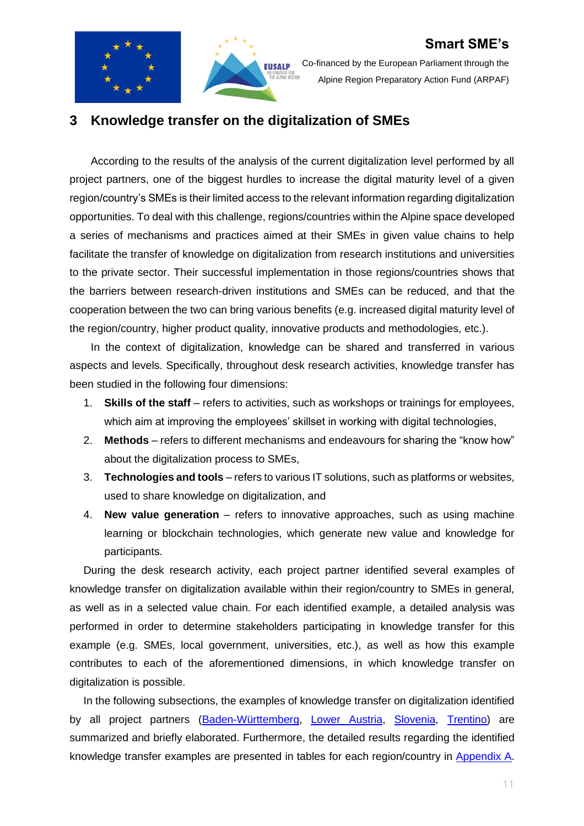



Co-financed by the European Parliament through the Alpine Region Preparatory Action Fund (ARPAF)

### <span id="page-10-0"></span>**3 Knowledge transfer on the digitalization of SMEs**

According to the results of the analysis of the current digitalization level performed by all project partners, one of the biggest hurdles to increase the digital maturity level of a given region/country's SMEs is their limited access to the relevant information regarding digitalization opportunities. To deal with this challenge, regions/countries within the Alpine space developed a series of mechanisms and practices aimed at their SMEs in given value chains to help facilitate the transfer of knowledge on digitalization from research institutions and universities to the private sector. Their successful implementation in those regions/countries shows that the barriers between research-driven institutions and SMEs can be reduced, and that the cooperation between the two can bring various benefits (e.g. increased digital maturity level of the region/country, higher product quality, innovative products and methodologies, etc.).

In the context of digitalization, knowledge can be shared and transferred in various aspects and levels. Specifically, throughout desk research activities, knowledge transfer has been studied in the following four dimensions:

- 1. **Skills of the staff** refers to activities, such as workshops or trainings for employees, which aim at improving the employees' skillset in working with digital technologies,
- 2. **Methods** refers to different mechanisms and endeavours for sharing the "know how" about the digitalization process to SMEs,
- 3. **Technologies and tools** refers to various IT solutions, such as platforms or websites, used to share knowledge on digitalization, and
- 4. **New value generation** refers to innovative approaches, such as using machine learning or blockchain technologies, which generate new value and knowledge for participants.

During the desk research activity, each project partner identified several examples of knowledge transfer on digitalization available within their region/country to SMEs in general, as well as in a selected value chain. For each identified example, a detailed analysis was performed in order to determine stakeholders participating in knowledge transfer for this example (e.g. SMEs, local government, universities, etc.), as well as how this example contributes to each of the aforementioned dimensions, in which knowledge transfer on digitalization is possible.

In the following subsections, the examples of knowledge transfer on digitalization identified by all project partners [\(Baden-Württemberg,](#page-12-0) [Lower Austria,](#page-15-0) [Slovenia,](#page-16-1) [Trentino\)](#page-13-1) are summarized and briefly elaborated. Furthermore, the detailed results regarding the identified knowledge transfer examples are presented in tables for each region/country in [Appendix](#page-36-0) A.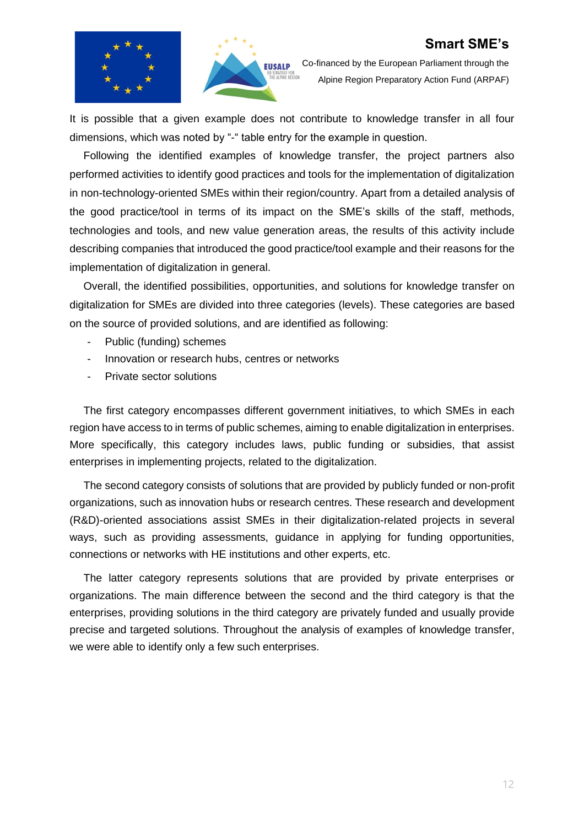



Co-financed by the European Parliament through the Alpine Region Preparatory Action Fund (ARPAF)

It is possible that a given example does not contribute to knowledge transfer in all four dimensions, which was noted by "-" table entry for the example in question.

Following the identified examples of knowledge transfer, the project partners also performed activities to identify good practices and tools for the implementation of digitalization in non-technology-oriented SMEs within their region/country. Apart from a detailed analysis of the good practice/tool in terms of its impact on the SME's skills of the staff, methods, technologies and tools, and new value generation areas, the results of this activity include describing companies that introduced the good practice/tool example and their reasons for the implementation of digitalization in general.

Overall, the identified possibilities, opportunities, and solutions for knowledge transfer on digitalization for SMEs are divided into three categories (levels). These categories are based on the source of provided solutions, and are identified as following:

- Public (funding) schemes
- Innovation or research hubs, centres or networks
- Private sector solutions

The first category encompasses different government initiatives, to which SMEs in each region have access to in terms of public schemes, aiming to enable digitalization in enterprises. More specifically, this category includes laws, public funding or subsidies, that assist enterprises in implementing projects, related to the digitalization.

The second category consists of solutions that are provided by publicly funded or non-profit organizations, such as innovation hubs or research centres. These research and development (R&D)-oriented associations assist SMEs in their digitalization-related projects in several ways, such as providing assessments, guidance in applying for funding opportunities, connections or networks with HE institutions and other experts, etc.

The latter category represents solutions that are provided by private enterprises or organizations. The main difference between the second and the third category is that the enterprises, providing solutions in the third category are privately funded and usually provide precise and targeted solutions. Throughout the analysis of examples of knowledge transfer, we were able to identify only a few such enterprises.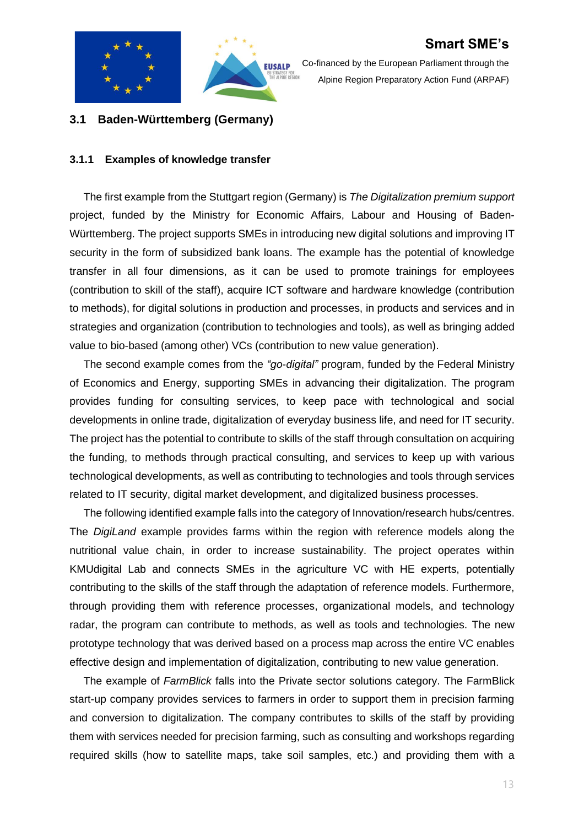



Co-financed by the European Parliament through the Alpine Region Preparatory Action Fund (ARPAF)

### <span id="page-12-0"></span>**3.1 Baden-Württemberg (Germany)**

#### <span id="page-12-1"></span>**3.1.1 Examples of knowledge transfer**

The first example from the Stuttgart region (Germany) is *The Digitalization premium support* project, funded by the Ministry for Economic Affairs, Labour and Housing of Baden-Württemberg. The project supports SMEs in introducing new digital solutions and improving IT security in the form of subsidized bank loans. The example has the potential of knowledge transfer in all four dimensions, as it can be used to promote trainings for employees (contribution to skill of the staff), acquire ICT software and hardware knowledge (contribution to methods), for digital solutions in production and processes, in products and services and in strategies and organization (contribution to technologies and tools), as well as bringing added value to bio-based (among other) VCs (contribution to new value generation).

The second example comes from the *"go-digital"* program, funded by the Federal Ministry of Economics and Energy, supporting SMEs in advancing their digitalization. The program provides funding for consulting services, to keep pace with technological and social developments in online trade, digitalization of everyday business life, and need for IT security. The project has the potential to contribute to skills of the staff through consultation on acquiring the funding, to methods through practical consulting, and services to keep up with various technological developments, as well as contributing to technologies and tools through services related to IT security, digital market development, and digitalized business processes.

The following identified example falls into the category of Innovation/research hubs/centres. The *DigiLand* example provides farms within the region with reference models along the nutritional value chain, in order to increase sustainability. The project operates within KMUdigital Lab and connects SMEs in the agriculture VC with HE experts, potentially contributing to the skills of the staff through the adaptation of reference models. Furthermore, through providing them with reference processes, organizational models, and technology radar, the program can contribute to methods, as well as tools and technologies. The new prototype technology that was derived based on a process map across the entire VC enables effective design and implementation of digitalization, contributing to new value generation.

The example of *FarmBlick* falls into the Private sector solutions category. The FarmBlick start-up company provides services to farmers in order to support them in precision farming and conversion to digitalization. The company contributes to skills of the staff by providing them with services needed for precision farming, such as consulting and workshops regarding required skills (how to satellite maps, take soil samples, etc.) and providing them with a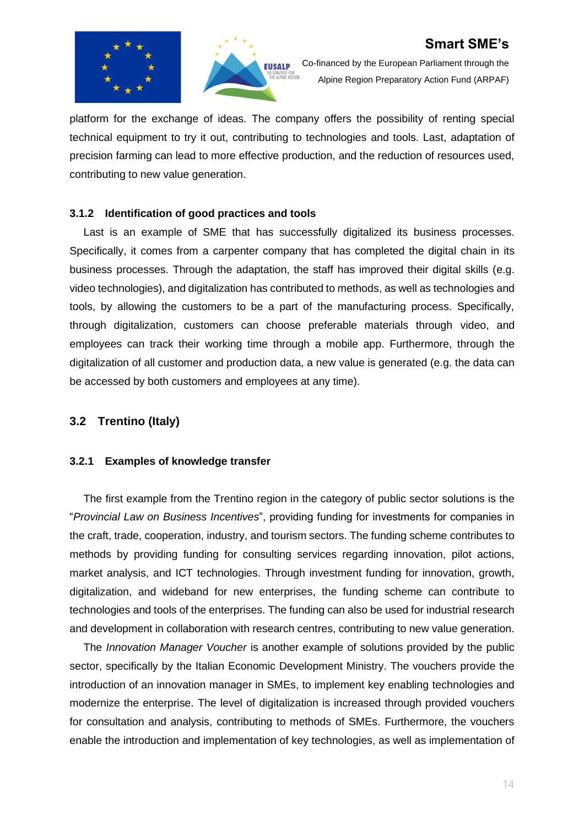



Co-financed by the European Parliament through the Alpine Region Preparatory Action Fund (ARPAF)

platform for the exchange of ideas. The company offers the possibility of renting special technical equipment to try it out, contributing to technologies and tools. Last, adaptation of precision farming can lead to more effective production, and the reduction of resources used, contributing to new value generation.

#### <span id="page-13-0"></span>**3.1.2 Identification of good practices and tools**

Last is an example of SME that has successfully digitalized its business processes. Specifically, it comes from a carpenter company that has completed the digital chain in its business processes. Through the adaptation, the staff has improved their digital skills (e.g. video technologies), and digitalization has contributed to methods, as well as technologies and tools, by allowing the customers to be a part of the manufacturing process. Specifically, through digitalization, customers can choose preferable materials through video, and employees can track their working time through a mobile app. Furthermore, through the digitalization of all customer and production data, a new value is generated (e.g. the data can be accessed by both customers and employees at any time).

#### <span id="page-13-1"></span>**3.2 Trentino (Italy)**

#### <span id="page-13-2"></span>**3.2.1 Examples of knowledge transfer**

The first example from the Trentino region in the category of public sector solutions is the "*Provincial Law on Business Incentives*", providing funding for investments for companies in the craft, trade, cooperation, industry, and tourism sectors. The funding scheme contributes to methods by providing funding for consulting services regarding innovation, pilot actions, market analysis, and ICT technologies. Through investment funding for innovation, growth, digitalization, and wideband for new enterprises, the funding scheme can contribute to technologies and tools of the enterprises. The funding can also be used for industrial research and development in collaboration with research centres, contributing to new value generation.

The *Innovation Manager Voucher* is another example of solutions provided by the public sector, specifically by the Italian Economic Development Ministry. The vouchers provide the introduction of an innovation manager in SMEs, to implement key enabling technologies and modernize the enterprise. The level of digitalization is increased through provided vouchers for consultation and analysis, contributing to methods of SMEs. Furthermore, the vouchers enable the introduction and implementation of key technologies, as well as implementation of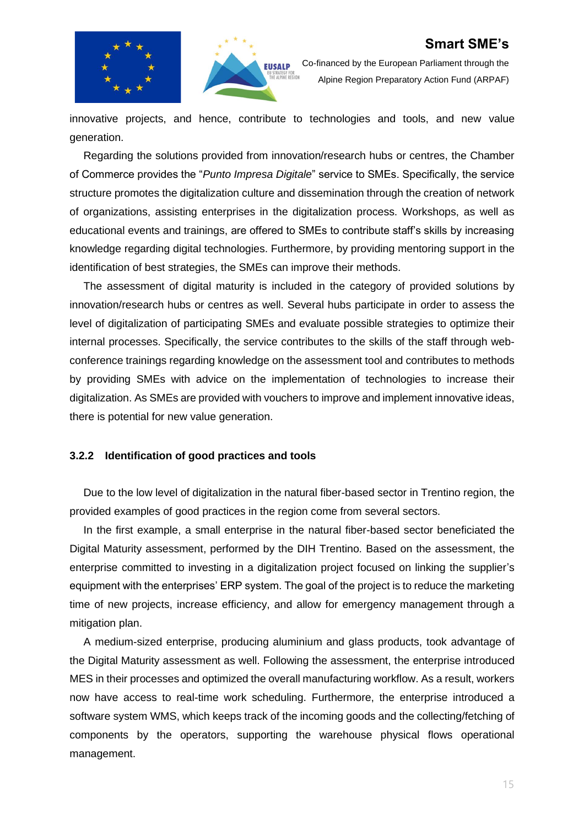



Co-financed by the European Parliament through the Alpine Region Preparatory Action Fund (ARPAF)

innovative projects, and hence, contribute to technologies and tools, and new value generation.

Regarding the solutions provided from innovation/research hubs or centres, the Chamber of Commerce provides the "*Punto Impresa Digitale*" service to SMEs. Specifically, the service structure promotes the digitalization culture and dissemination through the creation of network of organizations, assisting enterprises in the digitalization process. Workshops, as well as educational events and trainings, are offered to SMEs to contribute staff's skills by increasing knowledge regarding digital technologies. Furthermore, by providing mentoring support in the identification of best strategies, the SMEs can improve their methods.

The assessment of digital maturity is included in the category of provided solutions by innovation/research hubs or centres as well. Several hubs participate in order to assess the level of digitalization of participating SMEs and evaluate possible strategies to optimize their internal processes. Specifically, the service contributes to the skills of the staff through webconference trainings regarding knowledge on the assessment tool and contributes to methods by providing SMEs with advice on the implementation of technologies to increase their digitalization. As SMEs are provided with vouchers to improve and implement innovative ideas, there is potential for new value generation.

#### <span id="page-14-0"></span>**3.2.2 Identification of good practices and tools**

Due to the low level of digitalization in the natural fiber-based sector in Trentino region, the provided examples of good practices in the region come from several sectors.

In the first example, a small enterprise in the natural fiber-based sector beneficiated the Digital Maturity assessment, performed by the DIH Trentino. Based on the assessment, the enterprise committed to investing in a digitalization project focused on linking the supplier's equipment with the enterprises' ERP system. The goal of the project is to reduce the marketing time of new projects, increase efficiency, and allow for emergency management through a mitigation plan.

A medium-sized enterprise, producing aluminium and glass products, took advantage of the Digital Maturity assessment as well. Following the assessment, the enterprise introduced MES in their processes and optimized the overall manufacturing workflow. As a result, workers now have access to real-time work scheduling. Furthermore, the enterprise introduced a software system WMS, which keeps track of the incoming goods and the collecting/fetching of components by the operators, supporting the warehouse physical flows operational management.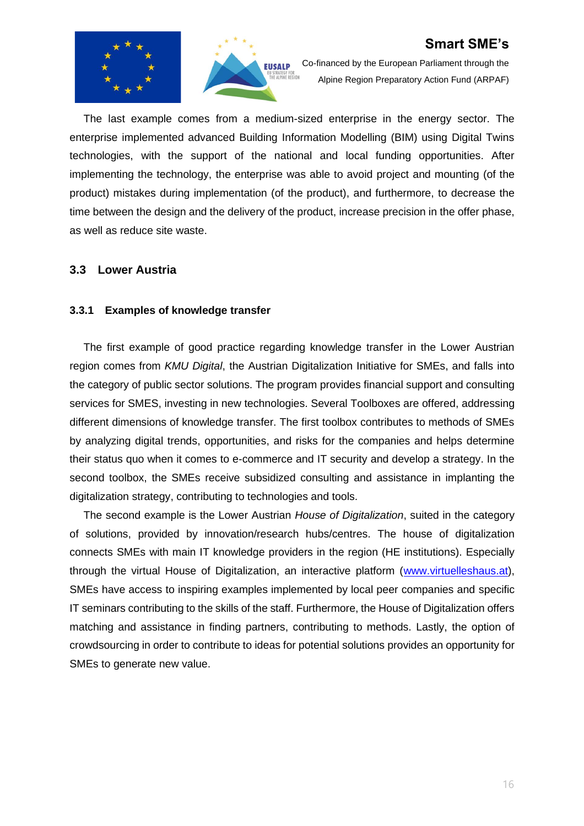



Co-financed by the European Parliament through the Alpine Region Preparatory Action Fund (ARPAF)

The last example comes from a medium-sized enterprise in the energy sector. The enterprise implemented advanced Building Information Modelling (BIM) using Digital Twins technologies, with the support of the national and local funding opportunities. After implementing the technology, the enterprise was able to avoid project and mounting (of the product) mistakes during implementation (of the product), and furthermore, to decrease the time between the design and the delivery of the product, increase precision in the offer phase, as well as reduce site waste.

#### <span id="page-15-0"></span>**3.3 Lower Austria**

#### <span id="page-15-1"></span>**3.3.1 Examples of knowledge transfer**

The first example of good practice regarding knowledge transfer in the Lower Austrian region comes from *KMU Digital*, the Austrian Digitalization Initiative for SMEs, and falls into the category of public sector solutions. The program provides financial support and consulting services for SMES, investing in new technologies. Several Toolboxes are offered, addressing different dimensions of knowledge transfer. The first toolbox contributes to methods of SMEs by analyzing digital trends, opportunities, and risks for the companies and helps determine their status quo when it comes to e-commerce and IT security and develop a strategy. In the second toolbox, the SMEs receive subsidized consulting and assistance in implanting the digitalization strategy, contributing to technologies and tools.

The second example is the Lower Austrian *House of Digitalization*, suited in the category of solutions, provided by innovation/research hubs/centres. The house of digitalization connects SMEs with main IT knowledge providers in the region (HE institutions). Especially through the virtual House of Digitalization, an interactive platform [\(www.virtuelleshaus.at\)](http://www.virtuelleshaus.at/), SMEs have access to inspiring examples implemented by local peer companies and specific IT seminars contributing to the skills of the staff. Furthermore, the House of Digitalization offers matching and assistance in finding partners, contributing to methods. Lastly, the option of crowdsourcing in order to contribute to ideas for potential solutions provides an opportunity for SMEs to generate new value.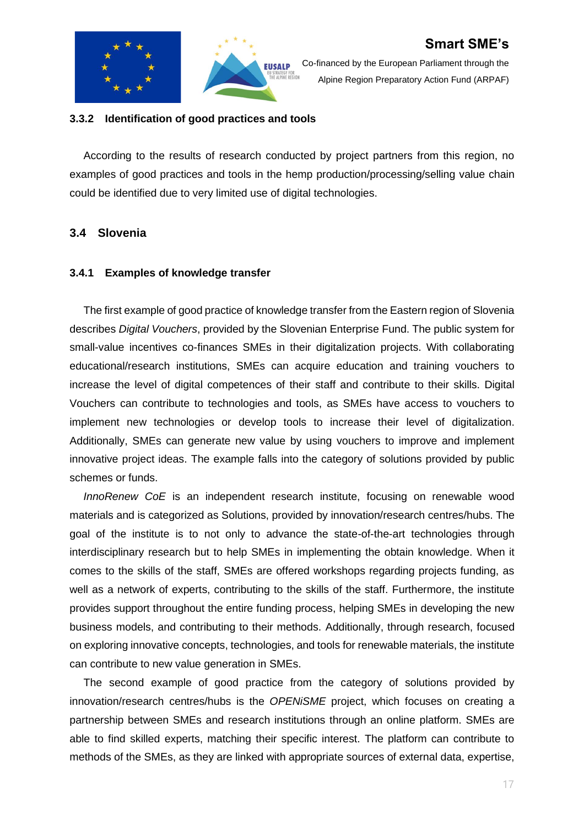



Co-financed by the European Parliament through the Alpine Region Preparatory Action Fund (ARPAF)

#### <span id="page-16-0"></span>**3.3.2 Identification of good practices and tools**

According to the results of research conducted by project partners from this region, no examples of good practices and tools in the hemp production/processing/selling value chain could be identified due to very limited use of digital technologies.

#### <span id="page-16-1"></span>**3.4 Slovenia**

#### <span id="page-16-2"></span>**3.4.1 Examples of knowledge transfer**

The first example of good practice of knowledge transfer from the Eastern region of Slovenia describes *Digital Vouchers*, provided by the Slovenian Enterprise Fund. The public system for small-value incentives co-finances SMEs in their digitalization projects. With collaborating educational/research institutions, SMEs can acquire education and training vouchers to increase the level of digital competences of their staff and contribute to their skills. Digital Vouchers can contribute to technologies and tools, as SMEs have access to vouchers to implement new technologies or develop tools to increase their level of digitalization. Additionally, SMEs can generate new value by using vouchers to improve and implement innovative project ideas. The example falls into the category of solutions provided by public schemes or funds.

*InnoRenew CoE* is an independent research institute, focusing on renewable wood materials and is categorized as Solutions, provided by innovation/research centres/hubs. The goal of the institute is to not only to advance the state-of-the-art technologies through interdisciplinary research but to help SMEs in implementing the obtain knowledge. When it comes to the skills of the staff, SMEs are offered workshops regarding projects funding, as well as a network of experts, contributing to the skills of the staff. Furthermore, the institute provides support throughout the entire funding process, helping SMEs in developing the new business models, and contributing to their methods. Additionally, through research, focused on exploring innovative concepts, technologies, and tools for renewable materials, the institute can contribute to new value generation in SMEs.

The second example of good practice from the category of solutions provided by innovation/research centres/hubs is the *OPENiSME* project, which focuses on creating a partnership between SMEs and research institutions through an online platform. SMEs are able to find skilled experts, matching their specific interest. The platform can contribute to methods of the SMEs, as they are linked with appropriate sources of external data, expertise,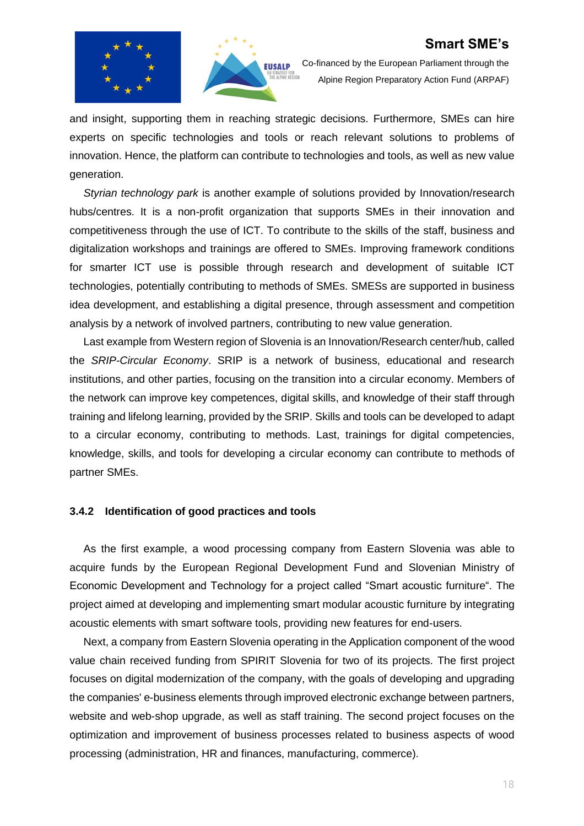



Co-financed by the European Parliament through the Alpine Region Preparatory Action Fund (ARPAF)

and insight, supporting them in reaching strategic decisions. Furthermore, SMEs can hire experts on specific technologies and tools or reach relevant solutions to problems of innovation. Hence, the platform can contribute to technologies and tools, as well as new value generation.

*Styrian technology park* is another example of solutions provided by Innovation/research hubs/centres. It is a non-profit organization that supports SMEs in their innovation and competitiveness through the use of ICT. To contribute to the skills of the staff, business and digitalization workshops and trainings are offered to SMEs. Improving framework conditions for smarter ICT use is possible through research and development of suitable ICT technologies, potentially contributing to methods of SMEs. SMESs are supported in business idea development, and establishing a digital presence, through assessment and competition analysis by a network of involved partners, contributing to new value generation.

Last example from Western region of Slovenia is an Innovation/Research center/hub, called the *SRIP-Circular Economy*. SRIP is a network of business, educational and research institutions, and other parties, focusing on the transition into a circular economy. Members of the network can improve key competences, digital skills, and knowledge of their staff through training and lifelong learning, provided by the SRIP. Skills and tools can be developed to adapt to a circular economy, contributing to methods. Last, trainings for digital competencies, knowledge, skills, and tools for developing a circular economy can contribute to methods of partner SMEs.

#### <span id="page-17-0"></span>**3.4.2 Identification of good practices and tools**

As the first example, a wood processing company from Eastern Slovenia was able to acquire funds by the European Regional Development Fund and Slovenian Ministry of Economic Development and Technology for a project called "Smart acoustic furniture". The project aimed at developing and implementing smart modular acoustic furniture by integrating acoustic elements with smart software tools, providing new features for end-users.

Next, a company from Eastern Slovenia operating in the Application component of the wood value chain received funding from SPIRIT Slovenia for two of its projects. The first project focuses on digital modernization of the company, with the goals of developing and upgrading the companies' e-business elements through improved electronic exchange between partners, website and web-shop upgrade, as well as staff training. The second project focuses on the optimization and improvement of business processes related to business aspects of wood processing (administration, HR and finances, manufacturing, commerce).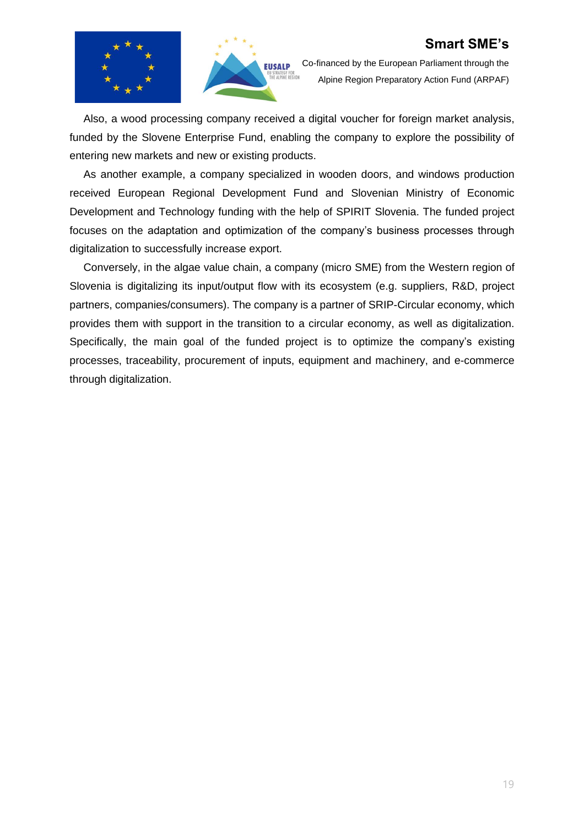



Co-financed by the European Parliament through the Alpine Region Preparatory Action Fund (ARPAF)

Also, a wood processing company received a digital voucher for foreign market analysis, funded by the Slovene Enterprise Fund, enabling the company to explore the possibility of entering new markets and new or existing products.

As another example, a company specialized in wooden doors, and windows production received European Regional Development Fund and Slovenian Ministry of Economic Development and Technology funding with the help of SPIRIT Slovenia. The funded project focuses on the adaptation and optimization of the company's business processes through digitalization to successfully increase export.

Conversely, in the algae value chain, a company (micro SME) from the Western region of Slovenia is digitalizing its input/output flow with its ecosystem (e.g. suppliers, R&D, project partners, companies/consumers). The company is a partner of SRIP-Circular economy, which provides them with support in the transition to a circular economy, as well as digitalization. Specifically, the main goal of the funded project is to optimize the company's existing processes, traceability, procurement of inputs, equipment and machinery, and e-commerce through digitalization.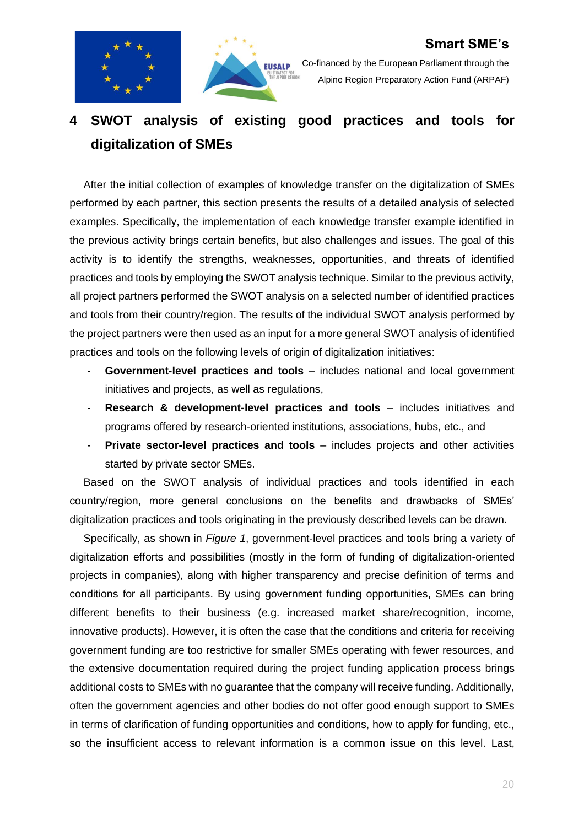



Co-financed by the European Parliament through the Alpine Region Preparatory Action Fund (ARPAF)

# <span id="page-19-0"></span>**4 SWOT analysis of existing good practices and tools for digitalization of SMEs**

After the initial collection of examples of knowledge transfer on the digitalization of SMEs performed by each partner, this section presents the results of a detailed analysis of selected examples. Specifically, the implementation of each knowledge transfer example identified in the previous activity brings certain benefits, but also challenges and issues. The goal of this activity is to identify the strengths, weaknesses, opportunities, and threats of identified practices and tools by employing the SWOT analysis technique. Similar to the previous activity, all project partners performed the SWOT analysis on a selected number of identified practices and tools from their country/region. The results of the individual SWOT analysis performed by the project partners were then used as an input for a more general SWOT analysis of identified practices and tools on the following levels of origin of digitalization initiatives:

- **Government-level practices and tools** includes national and local government initiatives and projects, as well as regulations,
- **Research & development-level practices and tools** includes initiatives and programs offered by research-oriented institutions, associations, hubs, etc., and
- **Private sector-level practices and tools** includes projects and other activities started by private sector SMEs.

Based on the SWOT analysis of individual practices and tools identified in each country/region, more general conclusions on the benefits and drawbacks of SMEs' digitalization practices and tools originating in the previously described levels can be drawn.

Specifically, as shown in *[Figure 1](#page-20-0)*, government-level practices and tools bring a variety of digitalization efforts and possibilities (mostly in the form of funding of digitalization-oriented projects in companies), along with higher transparency and precise definition of terms and conditions for all participants. By using government funding opportunities, SMEs can bring different benefits to their business (e.g. increased market share/recognition, income, innovative products). However, it is often the case that the conditions and criteria for receiving government funding are too restrictive for smaller SMEs operating with fewer resources, and the extensive documentation required during the project funding application process brings additional costs to SMEs with no guarantee that the company will receive funding. Additionally, often the government agencies and other bodies do not offer good enough support to SMEs in terms of clarification of funding opportunities and conditions, how to apply for funding, etc., so the insufficient access to relevant information is a common issue on this level. Last,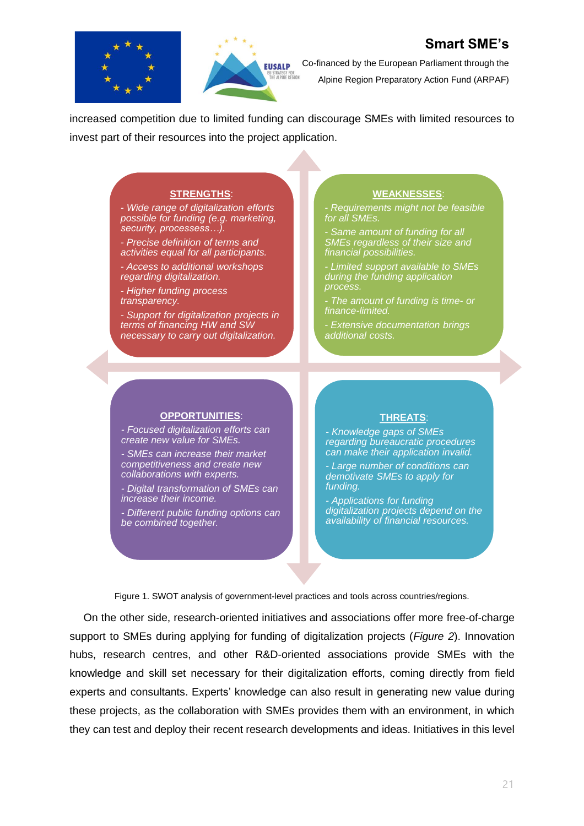



Co-financed by the European Parliament through the Alpine Region Preparatory Action Fund (ARPAF)

increased competition due to limited funding can discourage SMEs with limited resources to invest part of their resources into the project application.

#### **STRENGTHS**:

*- Wide range of digitalization efforts possible for funding (e.g. marketing, security, processess…).*

*- Precise definition of terms and activities equal for all participants.*

*- Access to additional workshops regarding digitalization.*

*- Higher funding process transparency.*

*- Support for digitalization projects in terms of financing HW and SW necessary to carry out digitalization.*

#### **WEAKNESSES**:

*- Requirements might not be feasible for all SMEs.*

*- Same amount of funding for all SMEs regardless of their size and financial possibilities.*

*- Limited support available to SMEs during the funding application process.*

*- The amount of funding is time- or finance-limited.*

*- Extensive documentation brings additional costs.*

#### **OPPORTUNITIES**:

*- Focused digitalization efforts can create new value for SMEs.*

*- SMEs can increase their market competitiveness and create new collaborations with experts.*

*- Digital transformation of SMEs can increase their income.*

*- Different public funding options can be combined together.*

#### **THREATS**:

*- Knowledge gaps of SMEs regarding bureaucratic procedures can make their application invalid.*

*- Large number of conditions can demotivate SMEs to apply for funding.*

*- Applications for funding digitalization projects depend on the availability of financial resources.*

Figure 1. SWOT analysis of government-level practices and tools across countries/regions.

<span id="page-20-0"></span>On the other side, research-oriented initiatives and associations offer more free-of-charge support to SMEs during applying for funding of digitalization projects (*[Figure 2](#page-21-0)*). Innovation hubs, research centres, and other R&D-oriented associations provide SMEs with the knowledge and skill set necessary for their digitalization efforts, coming directly from field experts and consultants. Experts' knowledge can also result in generating new value during these projects, as the collaboration with SMEs provides them with an environment, in which they can test and deploy their recent research developments and ideas. Initiatives in this level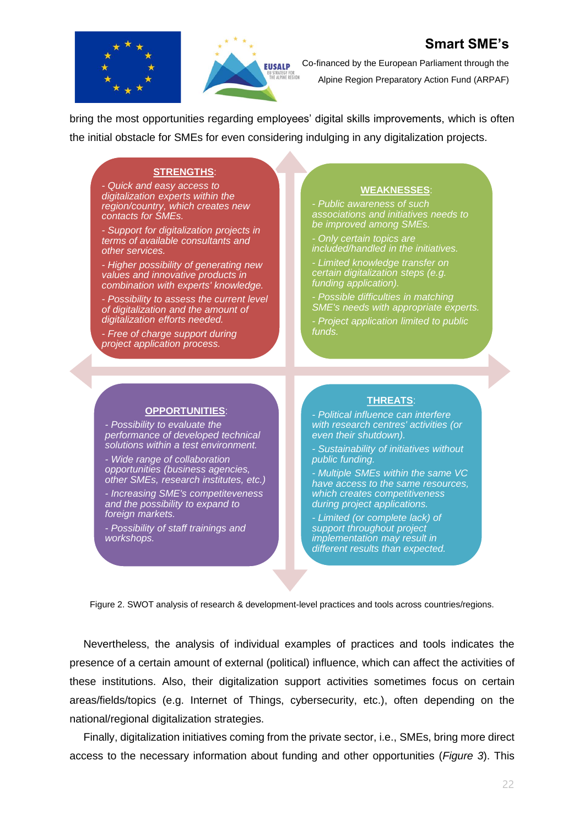



Co-financed by the European Parliament through the Alpine Region Preparatory Action Fund (ARPAF)

bring the most opportunities regarding employees' digital skills improvements, which is often the initial obstacle for SMEs for even considering indulging in any digitalization projects.

#### **STRENGTHS**:

*- Quick and easy access to digitalization experts within the region/country, which creates new contacts for SMEs.*

*- Support for digitalization projects in terms of available consultants and other services.*

*- Higher possibility of generating new values and innovative products in combination with experts' knowledge.*

*- Possibility to assess the current level of digitalization and the amount of digitalization efforts needed.*

*- Free of charge support during project application process.*

#### **WEAKNESSES**:

*- Public awareness of such associations and initiatives needs to be improved among SMEs.*

*- Only certain topics are included/handled in the initiatives.*

*- Limited knowledge transfer on certain digitalization steps (e.g. funding application).*

*- Possible difficulties in matching SME's needs with appropriate experts.*

*- Project application limited to public funds.*

#### **OPPORTUNITIES**:

*- Possibility to evaluate the performance of developed technical solutions within a test environment.*

*- Wide range of collaboration opportunities (business agencies, other SMEs, research institutes, etc.)*

*- Increasing SME's competiteveness and the possibility to expand to foreign markets.*

*- Possibility of staff trainings and workshops.*

#### **THREATS**:

*- Political influence can interfere with research centres' activities (or even their shutdown).*

*- Sustainability of initiatives without public funding.* 

*- Multiple SMEs within the same VC have access to the same resources, which creates competitiveness during project applications.*

*- Limited (or complete lack) of support throughout project implementation may result in different results than expected.*

<span id="page-21-0"></span>Figure 2. SWOT analysis of research & development-level practices and tools across countries/regions.

Nevertheless, the analysis of individual examples of practices and tools indicates the presence of a certain amount of external (political) influence, which can affect the activities of these institutions. Also, their digitalization support activities sometimes focus on certain areas/fields/topics (e.g. Internet of Things, cybersecurity, etc.), often depending on the national/regional digitalization strategies.

Finally, digitalization initiatives coming from the private sector, i.e., SMEs, bring more direct access to the necessary information about funding and other opportunities (*[Figure 3](#page-22-0)*). This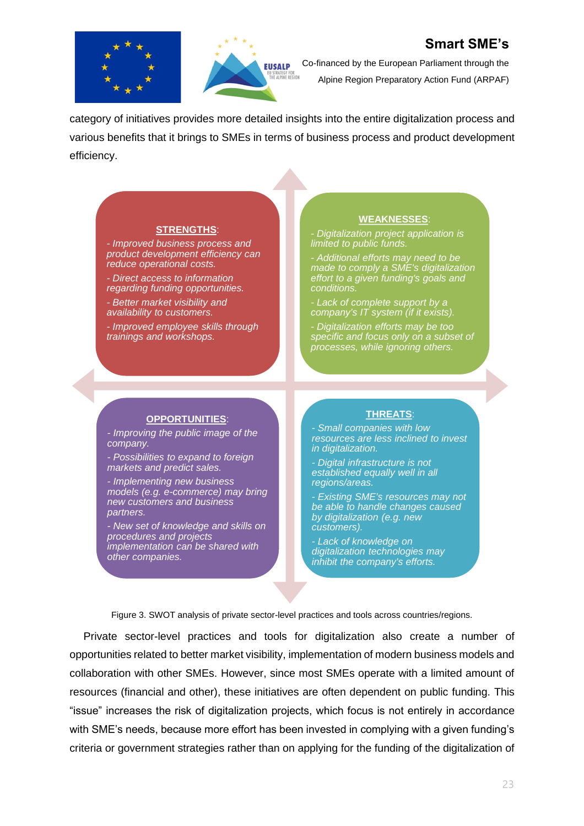



Co-financed by the European Parliament through the Alpine Region Preparatory Action Fund (ARPAF)

category of initiatives provides more detailed insights into the entire digitalization process and various benefits that it brings to SMEs in terms of business process and product development efficiency.

#### **STRENGTHS**:

*- Improved business process and product development efficiency can reduce operational costs.*

*- Direct access to information regarding funding opportunities.*

*- Better market visibility and availability to customers.*

*- Improved employee skills through trainings and workshops.*

#### **WEAKNESSES**:

*- Digitalization project application is limited to public funds.*

*- Additional efforts may need to be made to comply a SME's digitalization effort to a given funding's goals and conditions.*

*- Lack of complete support by a company's IT system (if it exists).*

*- Digitalization efforts may be too specific and focus only on a subset of processes, while ignoring others.*

#### **OPPORTUNITIES**:

*- Improving the public image of the company.*

*- Possibilities to expand to foreign markets and predict sales.*

*- Implementing new business models (e.g. e-commerce) may bring new customers and business partners.*

*- New set of knowledge and skills on procedures and projects implementation can be shared with other companies.*

#### **THREATS**:

*- Small companies with low resources are less inclined to invest in digitalization.* 

*- Digital infrastructure is not established equally well in all regions/areas.*

*- Existing SME's resources may not be able to handle changes caused by digitalization (e.g. new customers).*

*- Lack of knowledge on digitalization technologies may inhibit the company's efforts.*

Figure 3. SWOT analysis of private sector-level practices and tools across countries/regions.

<span id="page-22-0"></span>Private sector-level practices and tools for digitalization also create a number of opportunities related to better market visibility, implementation of modern business models and collaboration with other SMEs. However, since most SMEs operate with a limited amount of resources (financial and other), these initiatives are often dependent on public funding. This "issue" increases the risk of digitalization projects, which focus is not entirely in accordance with SME's needs, because more effort has been invested in complying with a given funding's criteria or government strategies rather than on applying for the funding of the digitalization of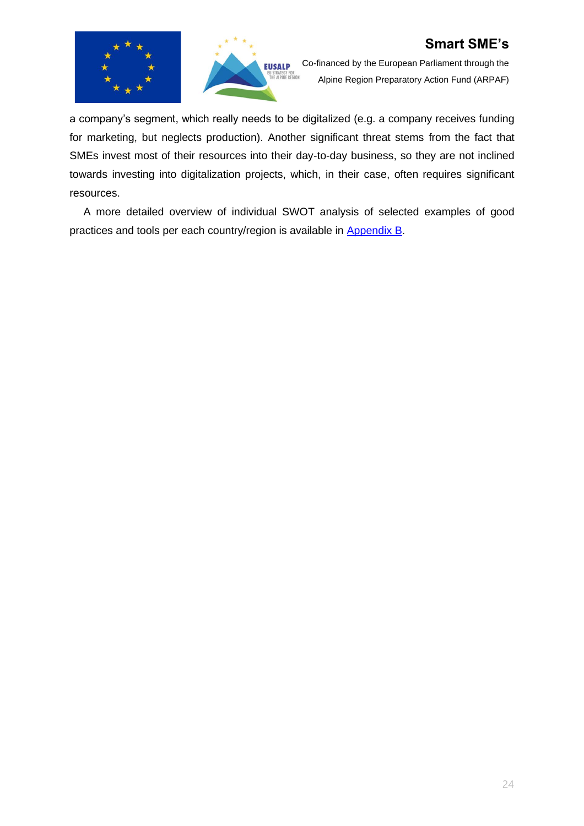



Co-financed by the European Parliament through the Alpine Region Preparatory Action Fund (ARPAF)

a company's segment, which really needs to be digitalized (e.g. a company receives funding for marketing, but neglects production). Another significant threat stems from the fact that SMEs invest most of their resources into their day-to-day business, so they are not inclined towards investing into digitalization projects, which, in their case, often requires significant resources.

A more detailed overview of individual SWOT analysis of selected examples of good practices and tools per each country/region is available in **Appendix B**.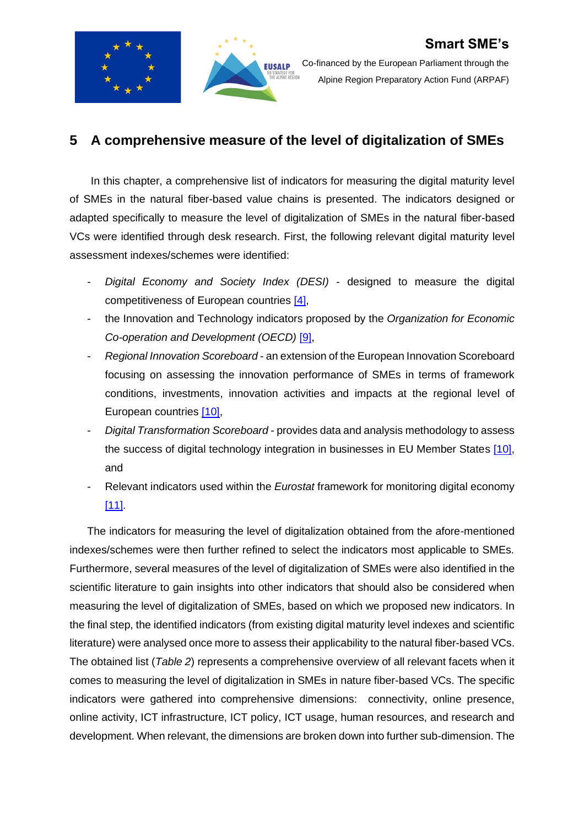

Co-financed by the European Parliament through the Alpine Region Preparatory Action Fund (ARPAF)

## <span id="page-24-0"></span>**5 A comprehensive measure of the level of digitalization of SMEs**

In this chapter, a comprehensive list of indicators for measuring the digital maturity level of SMEs in the natural fiber-based value chains is presented. The indicators designed or adapted specifically to measure the level of digitalization of SMEs in the natural fiber-based VCs were identified through desk research. First, the following relevant digital maturity level assessment indexes/schemes were identified:

- *Digital Economy and Society Index (DESI)* designed to measure the digital competitiveness of European countries [\[4\],](#page-34-4)
- the Innovation and Technology indicators proposed by the *Organization for Economic Co-operation and Development (OECD)* [\[9\],](#page-34-9)
- *Regional Innovation Scoreboard* an extension of the European Innovation Scoreboard focusing on assessing the innovation performance of SMEs in terms of framework conditions, investments, innovation activities and impacts at the regional level of European countries [\[10\],](#page-34-10)
- *Digital Transformation Scoreboard*  provides data and analysis methodology to assess the success of digital technology integration in businesses in EU Member States [\[10\],](#page-34-10) and
- Relevant indicators used within the *Eurostat* framework for monitoring digital economy [\[11\].](#page-34-11)

The indicators for measuring the level of digitalization obtained from the afore-mentioned indexes/schemes were then further refined to select the indicators most applicable to SMEs. Furthermore, several measures of the level of digitalization of SMEs were also identified in the scientific literature to gain insights into other indicators that should also be considered when measuring the level of digitalization of SMEs, based on which we proposed new indicators. In the final step, the identified indicators (from existing digital maturity level indexes and scientific literature) were analysed once more to assess their applicability to the natural fiber-based VCs. The obtained list (*[Table 2](#page-25-0)*) represents a comprehensive overview of all relevant facets when it comes to measuring the level of digitalization in SMEs in nature fiber-based VCs. The specific indicators were gathered into comprehensive dimensions: connectivity, online presence, online activity, ICT infrastructure, ICT policy, ICT usage, human resources, and research and development. When relevant, the dimensions are broken down into further sub-dimension. The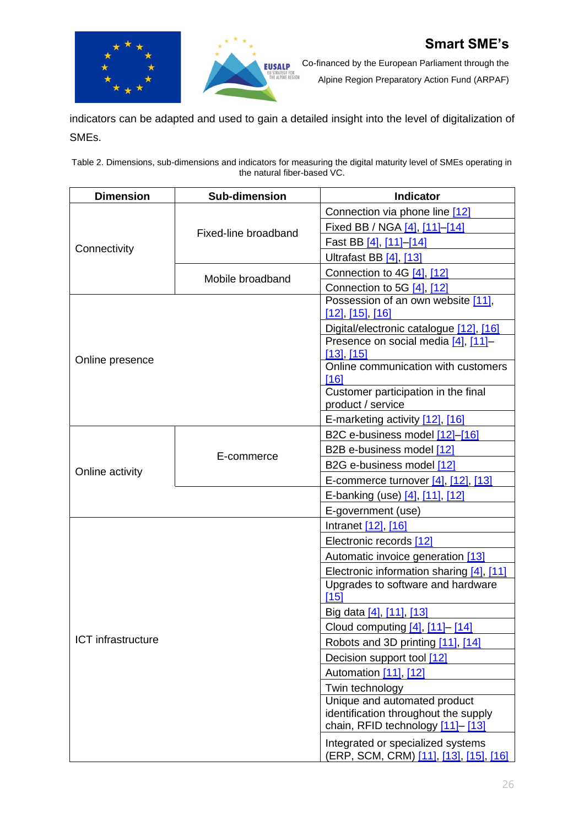



Co-financed by the European Parliament through the

Alpine Region Preparatory Action Fund (ARPAF)

indicators can be adapted and used to gain a detailed insight into the level of digitalization of SMEs.

<span id="page-25-0"></span>Table 2. Dimensions, sub-dimensions and indicators for measuring the digital maturity level of SMEs operating in the natural fiber-based VC.

| <b>Dimension</b>   | <b>Sub-dimension</b> | Indicator                                                                   |
|--------------------|----------------------|-----------------------------------------------------------------------------|
|                    |                      | Connection via phone line [12]                                              |
|                    | Fixed-line broadband | Fixed BB / NGA [4], [11]-[14]                                               |
| Connectivity       |                      | Fast BB [4], [11]-[14]                                                      |
|                    |                      | Ultrafast BB [4], [13]                                                      |
|                    | Mobile broadband     | Connection to 4G [4], [12]                                                  |
|                    |                      | Connection to 5G [4], [12]                                                  |
|                    |                      | Possession of an own website [11],                                          |
|                    |                      | <u>[12], [15], [16]</u>                                                     |
|                    |                      | Digital/electronic catalogue [12], [16]                                     |
|                    |                      | Presence on social media [4], [11]-<br>$[13]$ , $[15]$                      |
| Online presence    |                      | Online communication with customers<br>[16]                                 |
|                    |                      | Customer participation in the final                                         |
|                    |                      | product / service                                                           |
|                    |                      | E-marketing activity [12], [16]                                             |
|                    |                      | B2C e-business model [12]-[16]                                              |
|                    | E-commerce           | B2B e-business model [12]                                                   |
| Online activity    |                      | B2G e-business model [12]                                                   |
|                    |                      | E-commerce turnover [4], [12], [13]                                         |
|                    |                      | E-banking (use) [4], [11], [12]                                             |
|                    |                      | E-government (use)                                                          |
|                    |                      | Intranet [12], [16]                                                         |
|                    |                      | Electronic records [12]                                                     |
|                    |                      | Automatic invoice generation [13]                                           |
|                    |                      | Electronic information sharing [4], [11]                                    |
|                    |                      | Upgrades to software and hardware<br>[15]                                   |
|                    |                      | Big data [4], [11], [13]                                                    |
|                    |                      | Cloud computing [4], [11] - [14]                                            |
| ICT infrastructure |                      | Robots and 3D printing [11], [14]                                           |
|                    |                      | Decision support tool [12]                                                  |
|                    |                      | Automation [11], [12]                                                       |
|                    |                      | Twin technology                                                             |
|                    |                      | Unique and automated product                                                |
|                    |                      | identification throughout the supply                                        |
|                    |                      | chain, RFID technology [11]-[13]                                            |
|                    |                      | Integrated or specialized systems<br>(ERP, SCM, CRM) [11], [13], [15], [16] |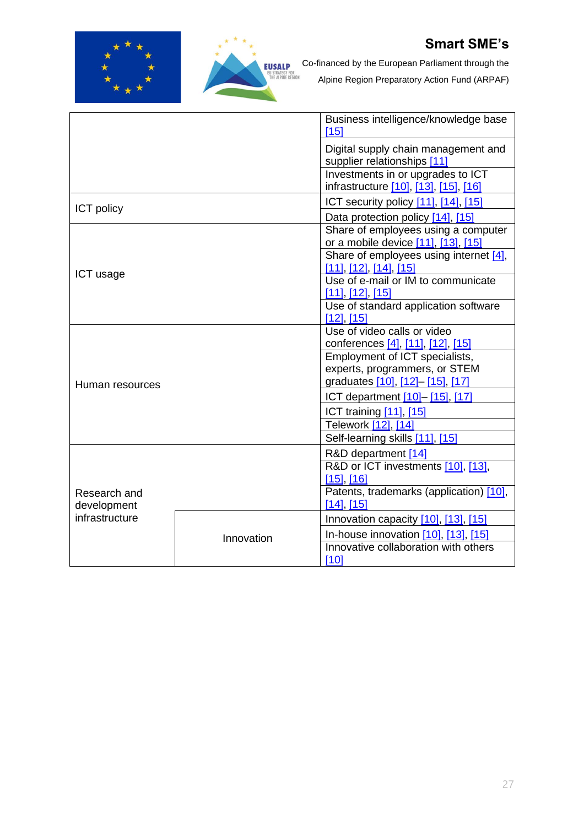



Co-financed by the European Parliament through the

|                             |            | Business intelligence/knowledge base<br>[15]                               |  |  |
|-----------------------------|------------|----------------------------------------------------------------------------|--|--|
|                             |            | Digital supply chain management and<br>supplier relationships [11]         |  |  |
|                             |            | Investments in or upgrades to ICT<br>infrastructure [10], [13], [15], [16] |  |  |
| <b>ICT</b> policy           |            | ICT security policy [11], [14], [15]                                       |  |  |
|                             |            | Data protection policy [14], [15]                                          |  |  |
|                             |            | Share of employees using a computer<br>or a mobile device [11], [13], [15] |  |  |
| ICT usage                   |            | Share of employees using internet [4],<br><u>[11], [12], [14], [15]</u>    |  |  |
|                             |            | Use of e-mail or IM to communicate<br>$[11]$ , $[12]$ , $[15]$             |  |  |
|                             |            | Use of standard application software<br>$[12]$ , $[15]$                    |  |  |
|                             |            | Use of video calls or video<br>conferences [4], [11], [12], [15]           |  |  |
|                             |            | Employment of ICT specialists,                                             |  |  |
|                             |            | experts, programmers, or STEM                                              |  |  |
| Human resources             |            | graduates [10], [12]- [15], [17]                                           |  |  |
|                             |            | ICT department [10]-[15], [17]                                             |  |  |
|                             |            | <b>ICT training [11], [15]</b>                                             |  |  |
|                             |            | Telework [12], [14]                                                        |  |  |
|                             |            | Self-learning skills [11], [15]                                            |  |  |
|                             |            | R&D department [14]                                                        |  |  |
|                             |            | R&D or ICT investments [10], [13],                                         |  |  |
|                             |            | $[15]$ , $[16]$<br>Patents, trademarks (application) [10],                 |  |  |
| Research and<br>development |            | $[14]$ , $[15]$                                                            |  |  |
| infrastructure              |            | Innovation capacity [10], [13], [15]                                       |  |  |
|                             | Innovation | In-house innovation $[10]$ , $[13]$ , $[15]$                               |  |  |
|                             |            | Innovative collaboration with others                                       |  |  |
|                             |            | [10]                                                                       |  |  |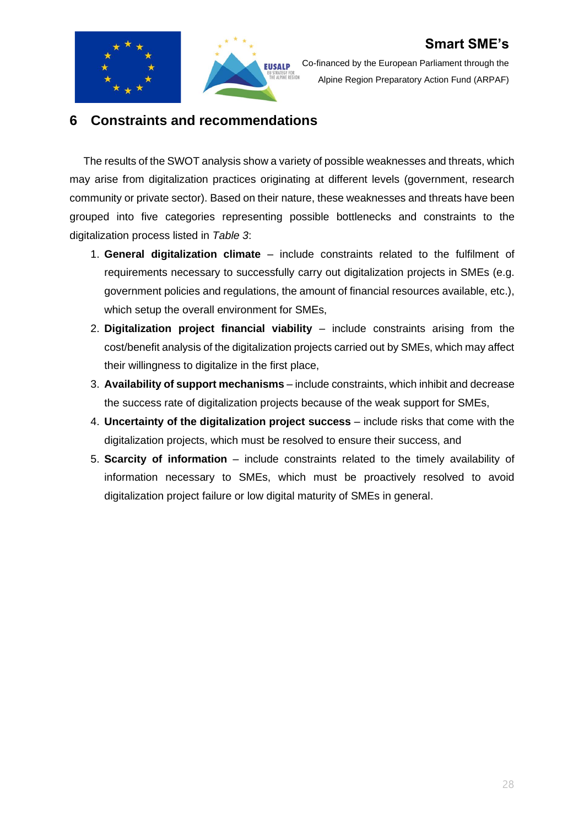



Co-financed by the European Parliament through the Alpine Region Preparatory Action Fund (ARPAF)

### <span id="page-27-0"></span>**6 Constraints and recommendations**

The results of the SWOT analysis show a variety of possible weaknesses and threats, which may arise from digitalization practices originating at different levels (government, research community or private sector). Based on their nature, these weaknesses and threats have been grouped into five categories representing possible bottlenecks and constraints to the digitalization process listed in *[Table 3](#page-28-0)*:

- 1. **General digitalization climate** include constraints related to the fulfilment of requirements necessary to successfully carry out digitalization projects in SMEs (e.g. government policies and regulations, the amount of financial resources available, etc.), which setup the overall environment for SMEs,
- 2. **Digitalization project financial viability** include constraints arising from the cost/benefit analysis of the digitalization projects carried out by SMEs, which may affect their willingness to digitalize in the first place,
- 3. **Availability of support mechanisms** include constraints, which inhibit and decrease the success rate of digitalization projects because of the weak support for SMEs,
- 4. **Uncertainty of the digitalization project success** include risks that come with the digitalization projects, which must be resolved to ensure their success, and
- 5. **Scarcity of information** include constraints related to the timely availability of information necessary to SMEs, which must be proactively resolved to avoid digitalization project failure or low digital maturity of SMEs in general.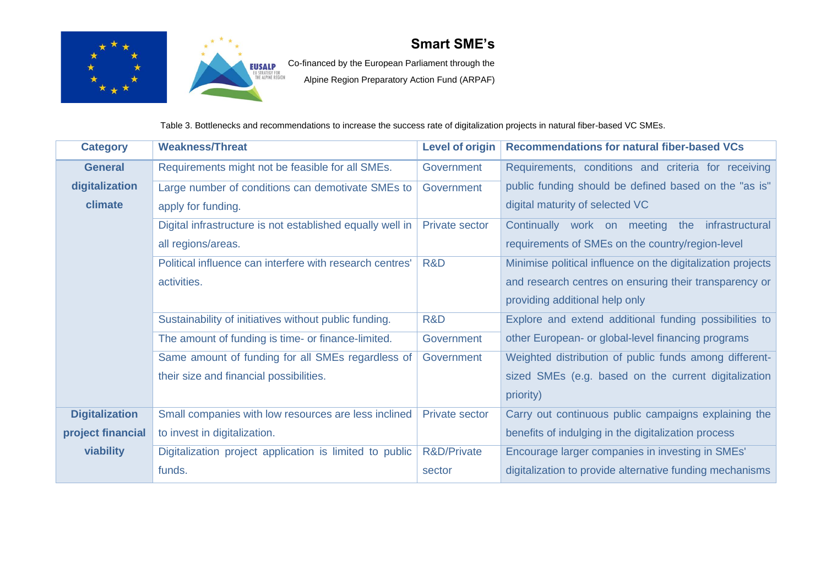



**EUSALP** Co-financed by the European Parliament through the

Alpine Region Preparatory Action Fund (ARPAF)

Table 3. Bottlenecks and recommendations to increase the success rate of digitalization projects in natural fiber-based VC SMEs.

<span id="page-28-0"></span>

| <b>Category</b>       | <b>Weakness/Threat</b>                                    | <b>Level of origin</b> | <b>Recommendations for natural fiber-based VCs</b>          |
|-----------------------|-----------------------------------------------------------|------------------------|-------------------------------------------------------------|
| <b>General</b>        | Requirements might not be feasible for all SMEs.          | Government             | Requirements, conditions and criteria for receiving         |
| digitalization        | Large number of conditions can demotivate SMEs to         | Government             | public funding should be defined based on the "as is"       |
| climate               | apply for funding.                                        |                        | digital maturity of selected VC                             |
|                       | Digital infrastructure is not established equally well in | <b>Private sector</b>  | Continually work on meeting the infrastructural             |
|                       | all regions/areas.                                        |                        | requirements of SMEs on the country/region-level            |
|                       | Political influence can interfere with research centres'  | R&D                    | Minimise political influence on the digitalization projects |
|                       | activities.                                               |                        | and research centres on ensuring their transparency or      |
|                       |                                                           |                        | providing additional help only                              |
|                       | Sustainability of initiatives without public funding.     | R&D                    | Explore and extend additional funding possibilities to      |
|                       | The amount of funding is time- or finance-limited.        | Government             | other European- or global-level financing programs          |
|                       | Same amount of funding for all SMEs regardless of         | Government             | Weighted distribution of public funds among different-      |
|                       | their size and financial possibilities.                   |                        | sized SMEs (e.g. based on the current digitalization        |
|                       |                                                           |                        | priority)                                                   |
| <b>Digitalization</b> | Small companies with low resources are less inclined      | <b>Private sector</b>  | Carry out continuous public campaigns explaining the        |
| project financial     | to invest in digitalization.                              |                        | benefits of indulging in the digitalization process         |
| viability             | Digitalization project application is limited to public   | R&D/Private            | Encourage larger companies in investing in SMEs'            |
|                       | funds.                                                    | sector                 | digitalization to provide alternative funding mechanisms    |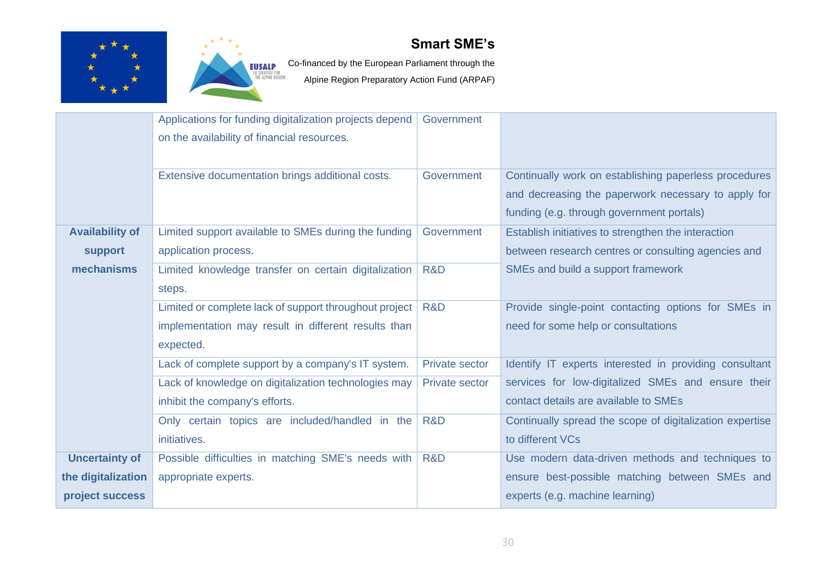



EUSALP Co-financed by the European Parliament through the

|                        | Applications for funding digitalization projects depend | Government            |                                                          |
|------------------------|---------------------------------------------------------|-----------------------|----------------------------------------------------------|
|                        | on the availability of financial resources.             |                       |                                                          |
|                        |                                                         |                       |                                                          |
|                        | Extensive documentation brings additional costs.        | Government            | Continually work on establishing paperless procedures    |
|                        |                                                         |                       | and decreasing the paperwork necessary to apply for      |
|                        |                                                         |                       | funding (e.g. through government portals)                |
| <b>Availability of</b> | Limited support available to SMEs during the funding    | Government            | Establish initiatives to strengthen the interaction      |
|                        | application process.                                    |                       | between research centres or consulting agencies and      |
| support                |                                                         |                       |                                                          |
| mechanisms             | Limited knowledge transfer on certain digitalization    | R&D                   | SMEs and build a support framework                       |
|                        | steps.                                                  |                       |                                                          |
|                        | Limited or complete lack of support throughout project  | R&D                   | Provide single-point contacting options for SMEs in      |
|                        | implementation may result in different results than     |                       | need for some help or consultations                      |
|                        | expected.                                               |                       |                                                          |
|                        | Lack of complete support by a company's IT system.      | <b>Private sector</b> | Identify IT experts interested in providing consultant   |
|                        | Lack of knowledge on digitalization technologies may    | <b>Private sector</b> | services for low-digitalized SMEs and ensure their       |
|                        | inhibit the company's efforts.                          |                       | contact details are available to SMEs                    |
|                        | Only certain topics are included/handled in the         | R&D                   | Continually spread the scope of digitalization expertise |
|                        | initiatives.                                            |                       | to different VCs                                         |
| <b>Uncertainty of</b>  | Possible difficulties in matching SME's needs with      | R&D                   | Use modern data-driven methods and techniques to         |
| the digitalization     | appropriate experts.                                    |                       | ensure best-possible matching between SMEs and           |
| project success        |                                                         |                       | experts (e.g. machine learning)                          |
|                        |                                                         |                       |                                                          |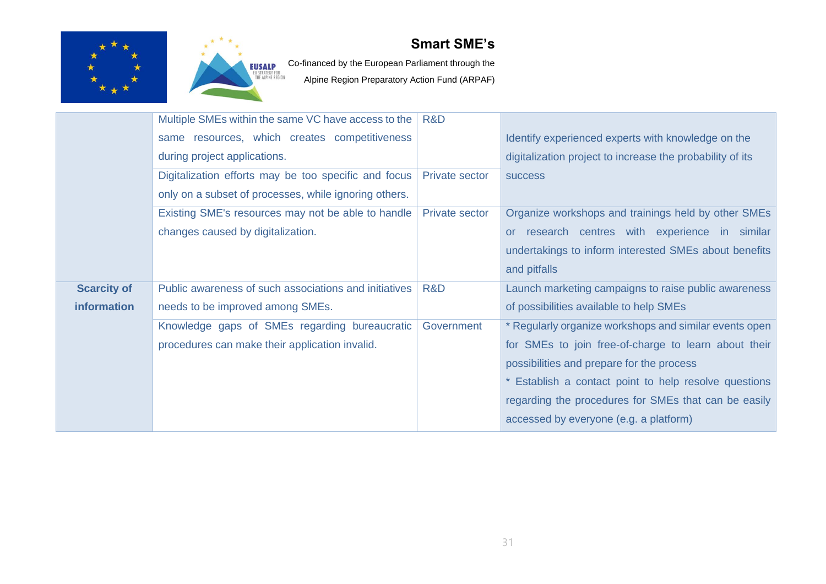



EUSALP Co-financed by the European Parliament through the

|                    | Multiple SMEs within the same VC have access to the   | R&D                   |                                                           |
|--------------------|-------------------------------------------------------|-----------------------|-----------------------------------------------------------|
|                    | same resources, which creates competitiveness         |                       | Identify experienced experts with knowledge on the        |
|                    | during project applications.                          |                       | digitalization project to increase the probability of its |
|                    | Digitalization efforts may be too specific and focus  | <b>Private sector</b> | <b>SUCCESS</b>                                            |
|                    | only on a subset of processes, while ignoring others. |                       |                                                           |
|                    | Existing SME's resources may not be able to handle    | <b>Private sector</b> | Organize workshops and trainings held by other SMEs       |
|                    | changes caused by digitalization.                     |                       | or research centres with experience in similar            |
|                    |                                                       |                       | undertakings to inform interested SMEs about benefits     |
|                    |                                                       |                       | and pitfalls                                              |
| <b>Scarcity of</b> | Public awareness of such associations and initiatives | R&D                   | Launch marketing campaigns to raise public awareness      |
| information        | needs to be improved among SMEs.                      |                       | of possibilities available to help SMEs                   |
|                    | Knowledge gaps of SMEs regarding bureaucratic         | Government            | * Regularly organize workshops and similar events open    |
|                    | procedures can make their application invalid.        |                       | for SMEs to join free-of-charge to learn about their      |
|                    |                                                       |                       | possibilities and prepare for the process                 |
|                    |                                                       |                       | * Establish a contact point to help resolve questions     |
|                    |                                                       |                       | regarding the procedures for SMEs that can be easily      |
|                    |                                                       |                       | accessed by everyone (e.g. a platform)                    |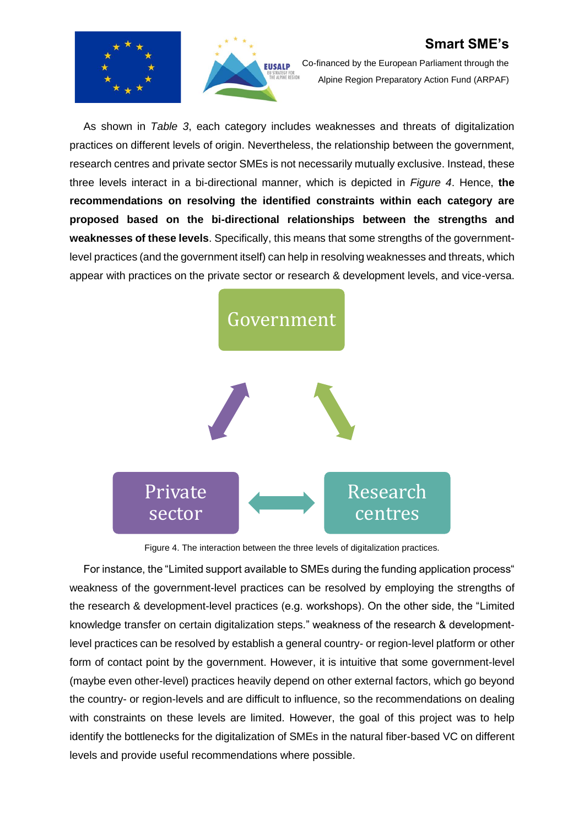



Co-financed by the European Parliament through the Alpine Region Preparatory Action Fund (ARPAF)

As shown in *[Table 3](#page-28-0)*, each category includes weaknesses and threats of digitalization practices on different levels of origin. Nevertheless, the relationship between the government, research centres and private sector SMEs is not necessarily mutually exclusive. Instead, these three levels interact in a bi-directional manner, which is depicted in *[Figure 4](#page-31-0)*. Hence, **the recommendations on resolving the identified constraints within each category are proposed based on the bi-directional relationships between the strengths and weaknesses of these levels**. Specifically, this means that some strengths of the governmentlevel practices (and the government itself) can help in resolving weaknesses and threats, which appear with practices on the private sector or research & development levels, and vice-versa.



Figure 4. The interaction between the three levels of digitalization practices.

<span id="page-31-0"></span>For instance, the "Limited support available to SMEs during the funding application process" weakness of the government-level practices can be resolved by employing the strengths of the research & development-level practices (e.g. workshops). On the other side, the "Limited knowledge transfer on certain digitalization steps." weakness of the research & developmentlevel practices can be resolved by establish a general country- or region-level platform or other form of contact point by the government. However, it is intuitive that some government-level (maybe even other-level) practices heavily depend on other external factors, which go beyond the country- or region-levels and are difficult to influence, so the recommendations on dealing with constraints on these levels are limited. However, the goal of this project was to help identify the bottlenecks for the digitalization of SMEs in the natural fiber-based VC on different levels and provide useful recommendations where possible.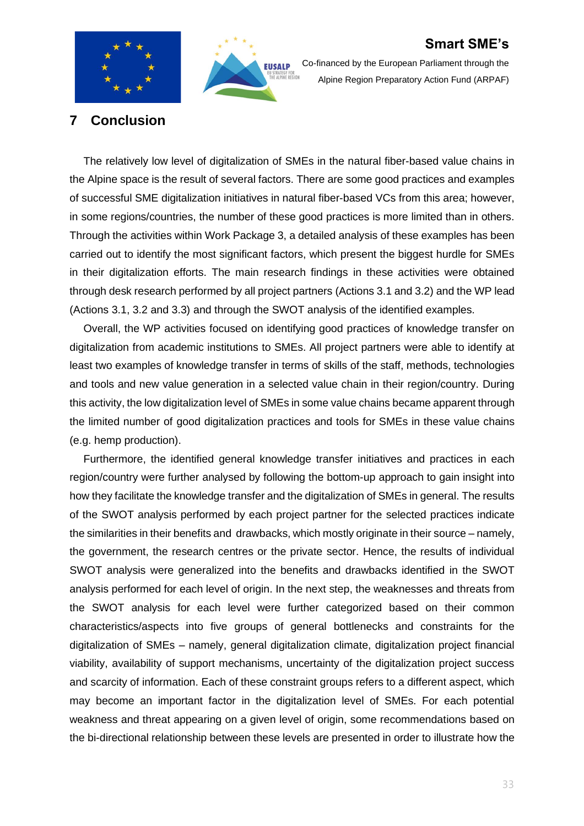



Co-financed by the European Parliament through the Alpine Region Preparatory Action Fund (ARPAF)

### <span id="page-32-0"></span>**7 Conclusion**

The relatively low level of digitalization of SMEs in the natural fiber-based value chains in the Alpine space is the result of several factors. There are some good practices and examples of successful SME digitalization initiatives in natural fiber-based VCs from this area; however, in some regions/countries, the number of these good practices is more limited than in others. Through the activities within Work Package 3, a detailed analysis of these examples has been carried out to identify the most significant factors, which present the biggest hurdle for SMEs in their digitalization efforts. The main research findings in these activities were obtained through desk research performed by all project partners (Actions 3.1 and 3.2) and the WP lead (Actions 3.1, 3.2 and 3.3) and through the SWOT analysis of the identified examples.

Overall, the WP activities focused on identifying good practices of knowledge transfer on digitalization from academic institutions to SMEs. All project partners were able to identify at least two examples of knowledge transfer in terms of skills of the staff, methods, technologies and tools and new value generation in a selected value chain in their region/country. During this activity, the low digitalization level of SMEs in some value chains became apparent through the limited number of good digitalization practices and tools for SMEs in these value chains (e.g. hemp production).

Furthermore, the identified general knowledge transfer initiatives and practices in each region/country were further analysed by following the bottom-up approach to gain insight into how they facilitate the knowledge transfer and the digitalization of SMEs in general. The results of the SWOT analysis performed by each project partner for the selected practices indicate the similarities in their benefits and drawbacks, which mostly originate in their source – namely, the government, the research centres or the private sector. Hence, the results of individual SWOT analysis were generalized into the benefits and drawbacks identified in the SWOT analysis performed for each level of origin. In the next step, the weaknesses and threats from the SWOT analysis for each level were further categorized based on their common characteristics/aspects into five groups of general bottlenecks and constraints for the digitalization of SMEs – namely, general digitalization climate, digitalization project financial viability, availability of support mechanisms, uncertainty of the digitalization project success and scarcity of information. Each of these constraint groups refers to a different aspect, which may become an important factor in the digitalization level of SMEs. For each potential weakness and threat appearing on a given level of origin, some recommendations based on the bi-directional relationship between these levels are presented in order to illustrate how the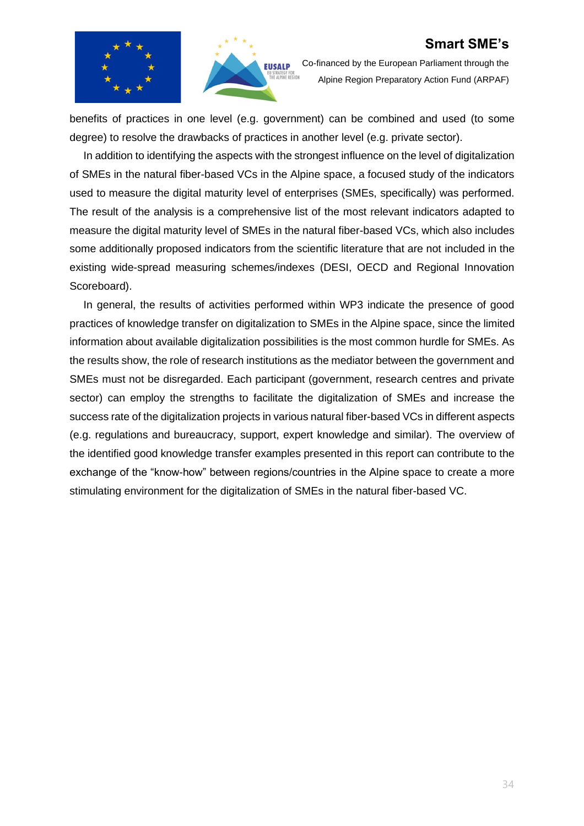



Co-financed by the European Parliament through the Alpine Region Preparatory Action Fund (ARPAF)

benefits of practices in one level (e.g. government) can be combined and used (to some degree) to resolve the drawbacks of practices in another level (e.g. private sector).

In addition to identifying the aspects with the strongest influence on the level of digitalization of SMEs in the natural fiber-based VCs in the Alpine space, a focused study of the indicators used to measure the digital maturity level of enterprises (SMEs, specifically) was performed. The result of the analysis is a comprehensive list of the most relevant indicators adapted to measure the digital maturity level of SMEs in the natural fiber-based VCs, which also includes some additionally proposed indicators from the scientific literature that are not included in the existing wide-spread measuring schemes/indexes (DESI, OECD and Regional Innovation Scoreboard).

In general, the results of activities performed within WP3 indicate the presence of good practices of knowledge transfer on digitalization to SMEs in the Alpine space, since the limited information about available digitalization possibilities is the most common hurdle for SMEs. As the results show, the role of research institutions as the mediator between the government and SMEs must not be disregarded. Each participant (government, research centres and private sector) can employ the strengths to facilitate the digitalization of SMEs and increase the success rate of the digitalization projects in various natural fiber-based VCs in different aspects (e.g. regulations and bureaucracy, support, expert knowledge and similar). The overview of the identified good knowledge transfer examples presented in this report can contribute to the exchange of the "know-how" between regions/countries in the Alpine space to create a more stimulating environment for the digitalization of SMEs in the natural fiber-based VC.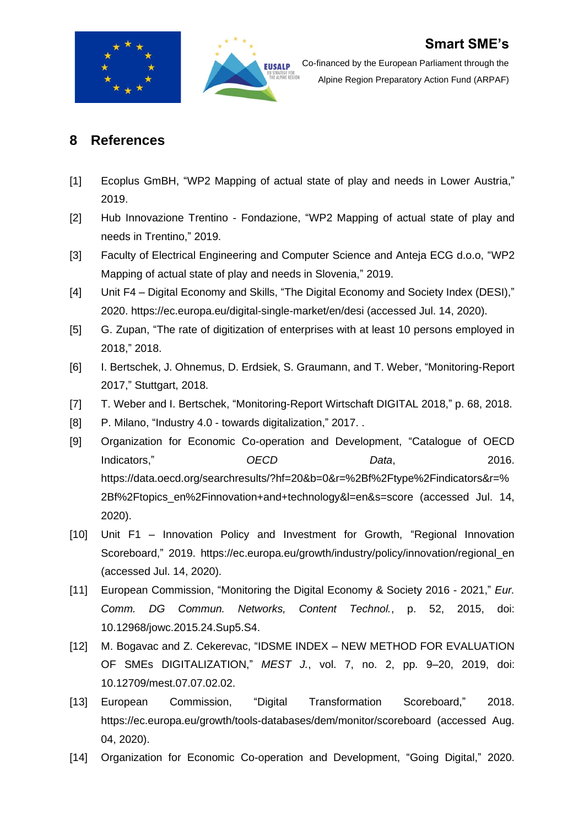



### <span id="page-34-0"></span>**8 References**

- <span id="page-34-1"></span>[1] Ecoplus GmBH, "WP2 Mapping of actual state of play and needs in Lower Austria," 2019.
- <span id="page-34-2"></span>[2] Hub Innovazione Trentino - Fondazione, "WP2 Mapping of actual state of play and needs in Trentino," 2019.
- <span id="page-34-3"></span>[3] Faculty of Electrical Engineering and Computer Science and Anteja ECG d.o.o, "WP2 Mapping of actual state of play and needs in Slovenia," 2019.
- <span id="page-34-4"></span>[4] Unit F4 – Digital Economy and Skills, "The Digital Economy and Society Index (DESI)," 2020. https://ec.europa.eu/digital-single-market/en/desi (accessed Jul. 14, 2020).
- <span id="page-34-5"></span>[5] G. Zupan, "The rate of digitization of enterprises with at least 10 persons employed in 2018," 2018.
- <span id="page-34-6"></span>[6] I. Bertschek, J. Ohnemus, D. Erdsiek, S. Graumann, and T. Weber, "Monitoring-Report 2017," Stuttgart, 2018.
- <span id="page-34-7"></span>[7] T. Weber and I. Bertschek, "Monitoring-Report Wirtschaft DIGITAL 2018," p. 68, 2018.
- <span id="page-34-8"></span>[8] P. Milano, "Industry 4.0 - towards digitalization," 2017. .
- <span id="page-34-9"></span>[9] Organization for Economic Co-operation and Development, "Catalogue of OECD **Indicators,"** OECD Data, 2016. https://data.oecd.org/searchresults/?hf=20&b=0&r=%2Bf%2Ftype%2Findicators&r=% 2Bf%2Ftopics\_en%2Finnovation+and+technology&l=en&s=score (accessed Jul. 14, 2020).
- <span id="page-34-10"></span>[10] Unit F1 – Innovation Policy and Investment for Growth, "Regional Innovation Scoreboard," 2019. https://ec.europa.eu/growth/industry/policy/innovation/regional\_en (accessed Jul. 14, 2020).
- <span id="page-34-11"></span>[11] European Commission, "Monitoring the Digital Economy & Society 2016 - 2021," *Eur. Comm. DG Commun. Networks, Content Technol.*, p. 52, 2015, doi: 10.12968/jowc.2015.24.Sup5.S4.
- <span id="page-34-12"></span>[12] M. Bogavac and Z. Cekerevac, "IDSME INDEX – NEW METHOD FOR EVALUATION OF SMEs DIGITALIZATION," *MEST J.*, vol. 7, no. 2, pp. 9–20, 2019, doi: 10.12709/mest.07.07.02.02.
- <span id="page-34-14"></span>[13] European Commission, "Digital Transformation Scoreboard," 2018. https://ec.europa.eu/growth/tools-databases/dem/monitor/scoreboard (accessed Aug. 04, 2020).
- <span id="page-34-13"></span>[14] Organization for Economic Co-operation and Development, "Going Digital," 2020.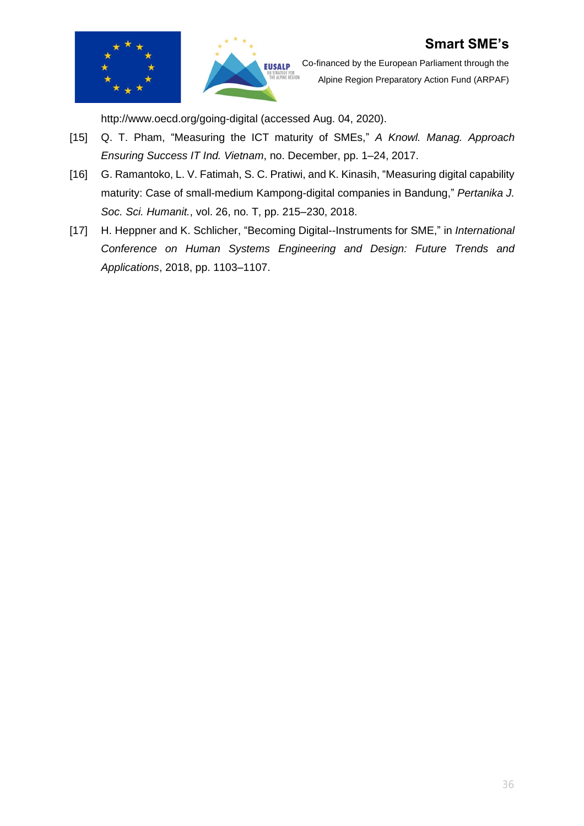



Co-financed by the European Parliament through the Alpine Region Preparatory Action Fund (ARPAF)

<span id="page-35-0"></span>http://www.oecd.org/going-digital (accessed Aug. 04, 2020).

- [15] Q. T. Pham, "Measuring the ICT maturity of SMEs," *A Knowl. Manag. Approach Ensuring Success IT Ind. Vietnam*, no. December, pp. 1–24, 2017.
- <span id="page-35-1"></span>[16] G. Ramantoko, L. V. Fatimah, S. C. Pratiwi, and K. Kinasih, "Measuring digital capability maturity: Case of small-medium Kampong-digital companies in Bandung," *Pertanika J. Soc. Sci. Humanit.*, vol. 26, no. T, pp. 215–230, 2018.
- <span id="page-35-2"></span>[17] H. Heppner and K. Schlicher, "Becoming Digital--Instruments for SME," in *International Conference on Human Systems Engineering and Design: Future Trends and Applications*, 2018, pp. 1103–1107.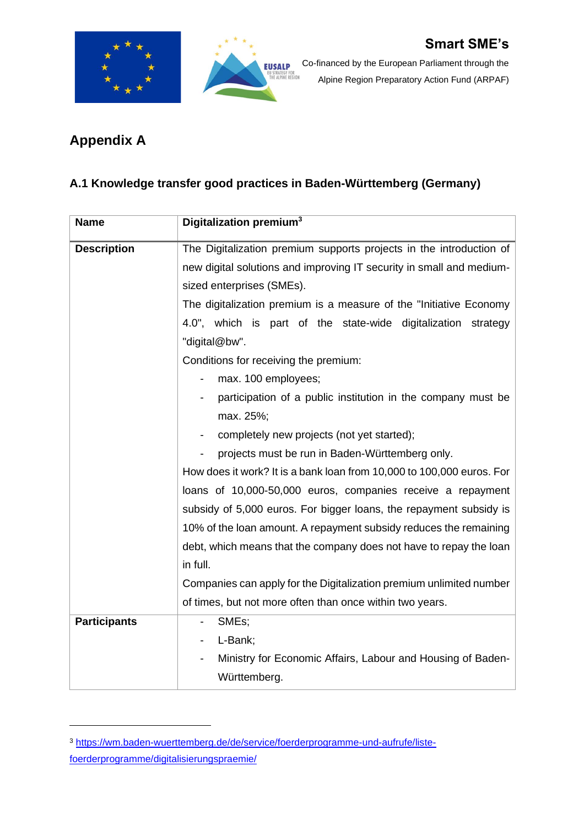



# <span id="page-36-0"></span>**Appendix A**

# <span id="page-36-1"></span>**A.1 Knowledge transfer good practices in Baden-Württemberg (Germany)**

| <b>Name</b>         | Digitalization premium <sup>3</sup>                                                     |  |
|---------------------|-----------------------------------------------------------------------------------------|--|
| <b>Description</b>  | The Digitalization premium supports projects in the introduction of                     |  |
|                     | new digital solutions and improving IT security in small and medium-                    |  |
|                     | sized enterprises (SMEs).                                                               |  |
|                     | The digitalization premium is a measure of the "Initiative Economy"                     |  |
|                     | 4.0", which is part of the state-wide digitalization strategy                           |  |
|                     | "digital@bw".                                                                           |  |
|                     | Conditions for receiving the premium:                                                   |  |
|                     | max. 100 employees;                                                                     |  |
|                     | participation of a public institution in the company must be                            |  |
|                     | max. 25%;                                                                               |  |
|                     | completely new projects (not yet started);                                              |  |
|                     | projects must be run in Baden-Württemberg only.                                         |  |
|                     | How does it work? It is a bank loan from 10,000 to 100,000 euros. For                   |  |
|                     | loans of 10,000-50,000 euros, companies receive a repayment                             |  |
|                     | subsidy of 5,000 euros. For bigger loans, the repayment subsidy is                      |  |
|                     | 10% of the loan amount. A repayment subsidy reduces the remaining                       |  |
|                     | debt, which means that the company does not have to repay the loan                      |  |
|                     | in full.                                                                                |  |
|                     | Companies can apply for the Digitalization premium unlimited number                     |  |
|                     | of times, but not more often than once within two years.                                |  |
| <b>Participants</b> | SMEs;<br>$\overline{\phantom{a}}$                                                       |  |
|                     | L-Bank;<br>$\overline{\phantom{0}}$                                                     |  |
|                     | Ministry for Economic Affairs, Labour and Housing of Baden-<br>$\overline{\phantom{0}}$ |  |
|                     | Württemberg.                                                                            |  |

<sup>3</sup> [https://wm.baden-wuerttemberg.de/de/service/foerderprogramme-und-aufrufe/liste](https://wm.baden-wuerttemberg.de/de/service/foerderprogramme-und-aufrufe/liste-foerderprogramme/digitalisierungspraemie/)[foerderprogramme/digitalisierungspraemie/](https://wm.baden-wuerttemberg.de/de/service/foerderprogramme-und-aufrufe/liste-foerderprogramme/digitalisierungspraemie/)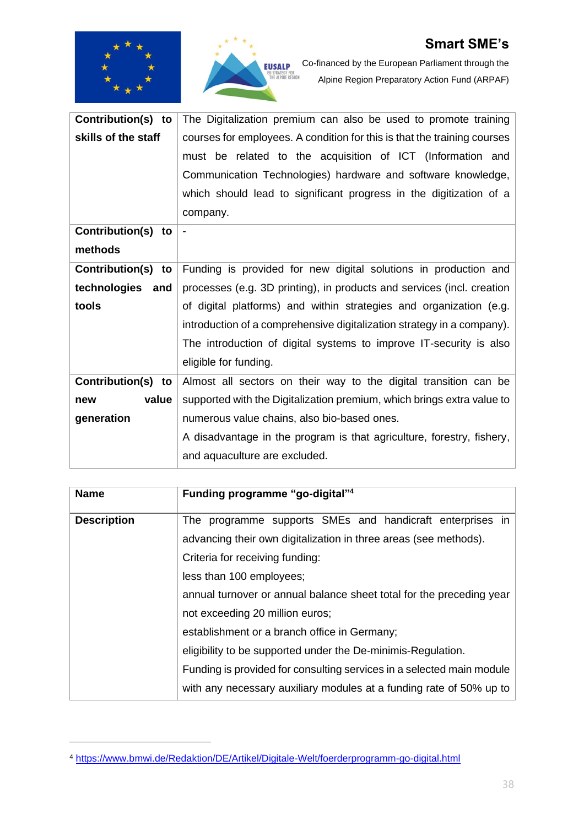



Co-financed by the European Parliament through the Alpine Region Preparatory Action Fund (ARPAF)

| Contribution(s) to           | The Digitalization premium can also be used to promote training          |
|------------------------------|--------------------------------------------------------------------------|
| skills of the staff          | courses for employees. A condition for this is that the training courses |
|                              | must be related to the acquisition of ICT (Information and               |
|                              | Communication Technologies) hardware and software knowledge,             |
|                              | which should lead to significant progress in the digitization of a       |
|                              | company.                                                                 |
| Contribution(s)<br>to        |                                                                          |
| methods                      |                                                                          |
| <b>Contribution(s)</b><br>to | Funding is provided for new digital solutions in production and          |
| technologies<br>and          | processes (e.g. 3D printing), in products and services (incl. creation   |
| tools                        | of digital platforms) and within strategies and organization (e.g.       |
|                              | introduction of a comprehensive digitalization strategy in a company).   |
|                              | The introduction of digital systems to improve IT-security is also       |
|                              | eligible for funding.                                                    |
| <b>Contribution(s)</b><br>to | Almost all sectors on their way to the digital transition can be         |
| value<br>new                 | supported with the Digitalization premium, which brings extra value to   |
| generation                   | numerous value chains, also bio-based ones.                              |
|                              | A disadvantage in the program is that agriculture, forestry, fishery,    |
|                              | and aquaculture are excluded.                                            |

| <b>Name</b>        | Funding programme "go-digital" <sup>4</sup>                           |  |  |
|--------------------|-----------------------------------------------------------------------|--|--|
| <b>Description</b> | The programme supports SMEs and handicraft enterprises in             |  |  |
|                    | advancing their own digitalization in three areas (see methods).      |  |  |
|                    | Criteria for receiving funding:                                       |  |  |
|                    | less than 100 employees;                                              |  |  |
|                    | annual turnover or annual balance sheet total for the preceding year  |  |  |
|                    | not exceeding 20 million euros;                                       |  |  |
|                    | establishment or a branch office in Germany;                          |  |  |
|                    | eligibility to be supported under the De-minimis-Regulation.          |  |  |
|                    | Funding is provided for consulting services in a selected main module |  |  |
|                    | with any necessary auxiliary modules at a funding rate of 50% up to   |  |  |

<sup>4</sup> <https://www.bmwi.de/Redaktion/DE/Artikel/Digitale-Welt/foerderprogramm-go-digital.html>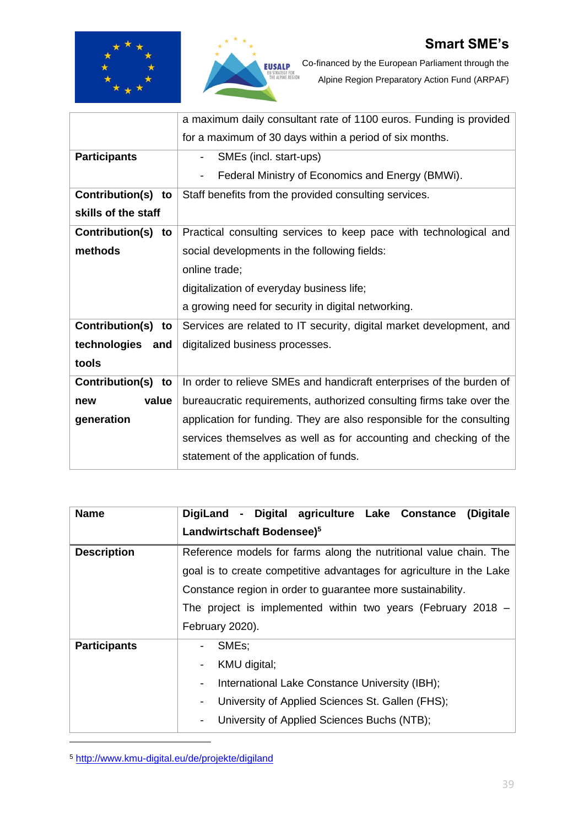



Co-financed by the European Parliament through the Alpine Region Preparatory Action Fund (ARPAF)

|                       | a maximum daily consultant rate of 1100 euros. Funding is provided           |  |  |
|-----------------------|------------------------------------------------------------------------------|--|--|
|                       | for a maximum of 30 days within a period of six months.                      |  |  |
| <b>Participants</b>   | SMEs (incl. start-ups)<br>$\overline{\phantom{a}}$                           |  |  |
|                       | Federal Ministry of Economics and Energy (BMWi).<br>$\overline{\phantom{a}}$ |  |  |
| Contribution(s) to    | Staff benefits from the provided consulting services.                        |  |  |
| skills of the staff   |                                                                              |  |  |
| Contribution(s)<br>to | Practical consulting services to keep pace with technological and            |  |  |
| methods               | social developments in the following fields:                                 |  |  |
|                       | online trade;                                                                |  |  |
|                       | digitalization of everyday business life;                                    |  |  |
|                       | a growing need for security in digital networking.                           |  |  |
| Contribution(s) to    | Services are related to IT security, digital market development, and         |  |  |
| technologies and      | digitalized business processes.                                              |  |  |
| tools                 |                                                                              |  |  |
| Contribution(s) to    | In order to relieve SMEs and handicraft enterprises of the burden of         |  |  |
| value<br>new          | bureaucratic requirements, authorized consulting firms take over the         |  |  |
| generation            | application for funding. They are also responsible for the consulting        |  |  |
|                       | services themselves as well as for accounting and checking of the            |  |  |
|                       | statement of the application of funds.                                       |  |  |

| <b>Name</b>         | DigiLand - Digital agriculture Lake Constance<br>(Digitale           |  |  |
|---------------------|----------------------------------------------------------------------|--|--|
|                     | Landwirtschaft Bodensee) <sup>5</sup>                                |  |  |
| <b>Description</b>  | Reference models for farms along the nutritional value chain. The    |  |  |
|                     | goal is to create competitive advantages for agriculture in the Lake |  |  |
|                     | Constance region in order to guarantee more sustainability.          |  |  |
|                     | The project is implemented within two years (February 2018 $-$       |  |  |
|                     | February 2020).                                                      |  |  |
| <b>Participants</b> | SME <sub>s</sub> ;                                                   |  |  |
|                     | KMU digital;<br>Ξ.                                                   |  |  |
|                     | International Lake Constance University (IBH);<br>Ξ.                 |  |  |
|                     | University of Applied Sciences St. Gallen (FHS);<br>-                |  |  |
|                     | University of Applied Sciences Buchs (NTB);<br>-                     |  |  |

<sup>5</sup> <http://www.kmu-digital.eu/de/projekte/digiland>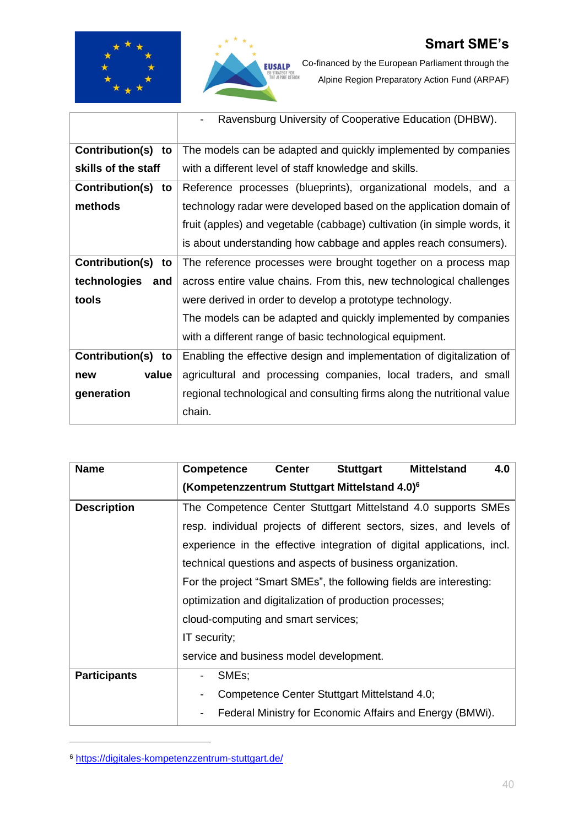



Co-financed by the European Parliament through the Alpine Region Preparatory Action Fund (ARPAF)

|                       | Ravensburg University of Cooperative Education (DHBW).                  |
|-----------------------|-------------------------------------------------------------------------|
| Contribution(s)<br>to | The models can be adapted and quickly implemented by companies          |
| skills of the staff   | with a different level of staff knowledge and skills.                   |
| Contribution(s)<br>to | Reference processes (blueprints), organizational models, and a          |
| methods               | technology radar were developed based on the application domain of      |
|                       | fruit (apples) and vegetable (cabbage) cultivation (in simple words, it |
|                       | is about understanding how cabbage and apples reach consumers).         |
| Contribution(s)<br>to | The reference processes were brought together on a process map          |
| technologies<br>and   | across entire value chains. From this, new technological challenges     |
| tools                 | were derived in order to develop a prototype technology.                |
|                       | The models can be adapted and quickly implemented by companies          |
|                       | with a different range of basic technological equipment.                |
| Contribution(s)<br>to | Enabling the effective design and implementation of digitalization of   |
| value<br>new          | agricultural and processing companies, local traders, and small         |
| generation            | regional technological and consulting firms along the nutritional value |
|                       | chain.                                                                  |

| <b>Name</b>         | <b>Competence</b>                                                      | <b>Center</b>                                                 | <b>Stuttgart</b>                             | <b>Mittelstand</b>                                       | 4.0 |
|---------------------|------------------------------------------------------------------------|---------------------------------------------------------------|----------------------------------------------|----------------------------------------------------------|-----|
|                     | (Kompetenzzentrum Stuttgart Mittelstand 4.0) <sup>6</sup>              |                                                               |                                              |                                                          |     |
| <b>Description</b>  |                                                                        | The Competence Center Stuttgart Mittelstand 4.0 supports SMEs |                                              |                                                          |     |
|                     | resp. individual projects of different sectors, sizes, and levels of   |                                                               |                                              |                                                          |     |
|                     | experience in the effective integration of digital applications, incl. |                                                               |                                              |                                                          |     |
|                     | technical questions and aspects of business organization.              |                                                               |                                              |                                                          |     |
|                     | For the project "Smart SMEs", the following fields are interesting:    |                                                               |                                              |                                                          |     |
|                     | optimization and digitalization of production processes;               |                                                               |                                              |                                                          |     |
|                     | cloud-computing and smart services;                                    |                                                               |                                              |                                                          |     |
|                     | IT security;                                                           |                                                               |                                              |                                                          |     |
|                     | service and business model development.                                |                                                               |                                              |                                                          |     |
| <b>Participants</b> | SME <sub>s</sub> ;<br>-                                                |                                                               |                                              |                                                          |     |
|                     |                                                                        |                                                               | Competence Center Stuttgart Mittelstand 4.0; |                                                          |     |
|                     |                                                                        |                                                               |                                              | Federal Ministry for Economic Affairs and Energy (BMWi). |     |

<sup>6</sup> <https://digitales-kompetenzzentrum-stuttgart.de/>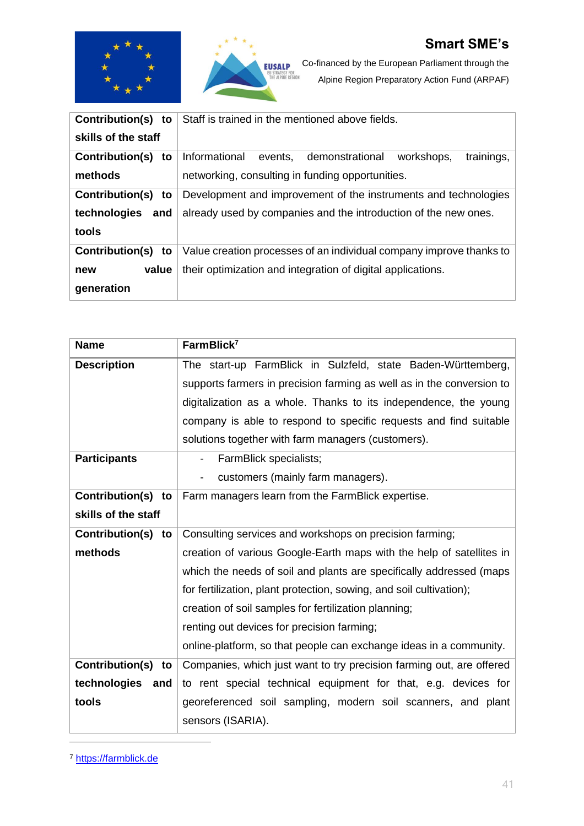



Co-financed by the European Parliament through the Alpine Region Preparatory Action Fund (ARPAF)

| <b>Contribution(s)</b><br>to | Staff is trained in the mentioned above fields.                     |  |  |
|------------------------------|---------------------------------------------------------------------|--|--|
| skills of the staff          |                                                                     |  |  |
| <b>Contribution(s)</b><br>to | Informational events, demonstrational<br>trainings,<br>workshops,   |  |  |
| methods                      | networking, consulting in funding opportunities.                    |  |  |
| <b>Contribution(s)</b><br>to | Development and improvement of the instruments and technologies     |  |  |
| technologies<br>and          | already used by companies and the introduction of the new ones.     |  |  |
| tools                        |                                                                     |  |  |
| <b>Contribution(s)</b><br>to | Value creation processes of an individual company improve thanks to |  |  |
| value<br>new                 | their optimization and integration of digital applications.         |  |  |
| generation                   |                                                                     |  |  |

| <b>Name</b>           | FarmBlick <sup>7</sup>                                                |  |  |
|-----------------------|-----------------------------------------------------------------------|--|--|
| <b>Description</b>    | The start-up FarmBlick in Sulzfeld, state Baden-Württemberg,          |  |  |
|                       | supports farmers in precision farming as well as in the conversion to |  |  |
|                       | digitalization as a whole. Thanks to its independence, the young      |  |  |
|                       | company is able to respond to specific requests and find suitable     |  |  |
|                       | solutions together with farm managers (customers).                    |  |  |
| <b>Participants</b>   | FarmBlick specialists;<br>$\overline{\phantom{a}}$                    |  |  |
|                       | customers (mainly farm managers).                                     |  |  |
| Contribution(s)<br>to | Farm managers learn from the FarmBlick expertise.                     |  |  |
| skills of the staff   |                                                                       |  |  |
| Contribution(s)<br>to | Consulting services and workshops on precision farming;               |  |  |
| methods               | creation of various Google-Earth maps with the help of satellites in  |  |  |
|                       | which the needs of soil and plants are specifically addressed (maps   |  |  |
|                       | for fertilization, plant protection, sowing, and soil cultivation);   |  |  |
|                       | creation of soil samples for fertilization planning;                  |  |  |
|                       | renting out devices for precision farming;                            |  |  |
|                       | online-platform, so that people can exchange ideas in a community.    |  |  |
| Contribution(s)<br>to | Companies, which just want to try precision farming out, are offered  |  |  |
| technologies<br>and   | to rent special technical equipment for that, e.g. devices for        |  |  |
| tools                 | georeferenced soil sampling, modern soil scanners, and plant          |  |  |
|                       | sensors (ISARIA).                                                     |  |  |

<sup>7</sup> [https://farmblick.de](https://farmblick.de/)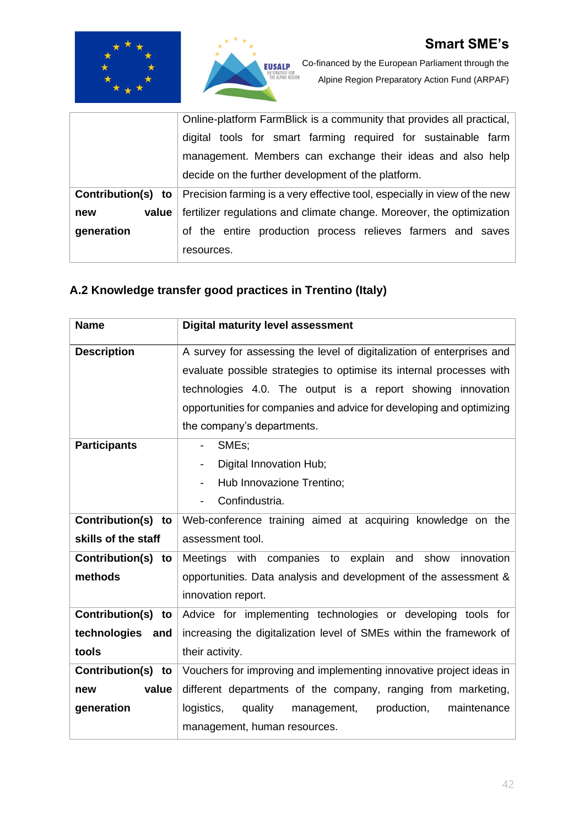



Co-financed by the European Parliament through the Alpine Region Preparatory Action Fund (ARPAF)

|              | Online-platform FarmBlick is a community that provides all practical,                                       |  |  |  |
|--------------|-------------------------------------------------------------------------------------------------------------|--|--|--|
|              | digital tools for smart farming required for sustainable farm                                               |  |  |  |
|              | management. Members can exchange their ideas and also help                                                  |  |  |  |
|              | decide on the further development of the platform.                                                          |  |  |  |
|              | <b>Contribution(s)</b> to $\vert$ Precision farming is a very effective tool, especially in view of the new |  |  |  |
| value<br>new | fertilizer regulations and climate change. Moreover, the optimization                                       |  |  |  |
| generation   | of the entire production process relieves farmers and saves                                                 |  |  |  |
|              | resources.                                                                                                  |  |  |  |

# <span id="page-41-0"></span>**A.2 Knowledge transfer good practices in Trentino (Italy)**

| <b>Name</b>         | <b>Digital maturity level assessment</b>                              |  |  |
|---------------------|-----------------------------------------------------------------------|--|--|
| <b>Description</b>  | A survey for assessing the level of digitalization of enterprises and |  |  |
|                     | evaluate possible strategies to optimise its internal processes with  |  |  |
|                     | technologies 4.0. The output is a report showing innovation           |  |  |
|                     | opportunities for companies and advice for developing and optimizing  |  |  |
|                     | the company's departments.                                            |  |  |
| <b>Participants</b> | SMEs;                                                                 |  |  |
|                     | Digital Innovation Hub;                                               |  |  |
|                     | Hub Innovazione Trentino;<br>$\overline{\phantom{a}}$                 |  |  |
|                     | Confindustria.                                                        |  |  |
| Contribution(s) to  | Web-conference training aimed at acquiring knowledge on the           |  |  |
| skills of the staff | assessment tool.                                                      |  |  |
| Contribution(s) to  | Meetings with companies to explain<br>and<br>show<br>innovation       |  |  |
| methods             | opportunities. Data analysis and development of the assessment &      |  |  |
|                     | innovation report.                                                    |  |  |
| Contribution(s) to  | Advice for implementing technologies or developing tools for          |  |  |
| technologies and    | increasing the digitalization level of SMEs within the framework of   |  |  |
| tools               | their activity.                                                       |  |  |
| Contribution(s) to  | Vouchers for improving and implementing innovative project ideas in   |  |  |
| value<br>new        | different departments of the company, ranging from marketing,         |  |  |
| generation          | production,<br>logistics,<br>quality<br>maintenance<br>management,    |  |  |
|                     | management, human resources.                                          |  |  |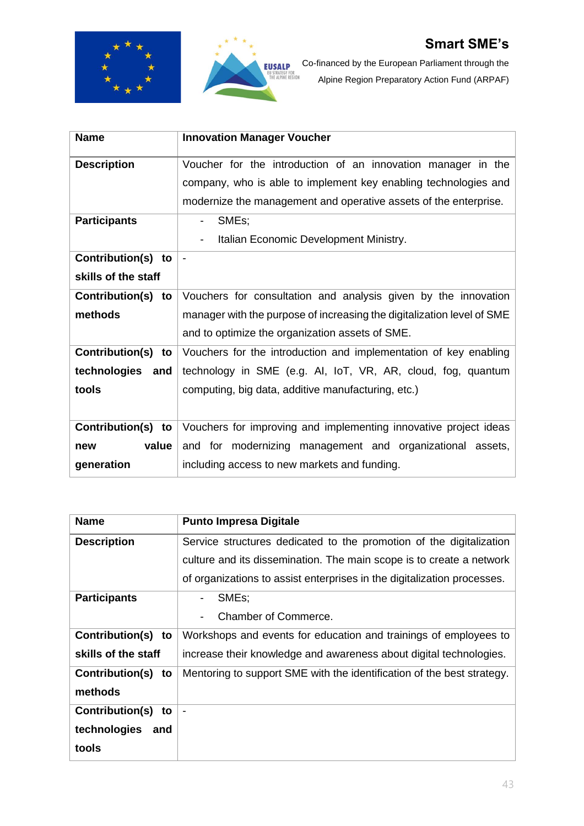



Co-financed by the European Parliament through the Alpine Region Preparatory Action Fund (ARPAF)

| <b>Name</b>           | <b>Innovation Manager Voucher</b>                                      |
|-----------------------|------------------------------------------------------------------------|
| <b>Description</b>    | Voucher for the introduction of an innovation manager in the           |
|                       | company, who is able to implement key enabling technologies and        |
|                       | modernize the management and operative assets of the enterprise.       |
| <b>Participants</b>   | SMEs;<br>$\overline{\phantom{0}}$                                      |
|                       | Italian Economic Development Ministry.                                 |
| Contribution(s) to    | $\blacksquare$                                                         |
| skills of the staff   |                                                                        |
| Contribution(s)<br>to | Vouchers for consultation and analysis given by the innovation         |
| methods               | manager with the purpose of increasing the digitalization level of SME |
|                       | and to optimize the organization assets of SME.                        |
| Contribution(s)<br>to | Vouchers for the introduction and implementation of key enabling       |
| technologies<br>and   | technology in SME (e.g. AI, IoT, VR, AR, cloud, fog, quantum           |
| tools                 | computing, big data, additive manufacturing, etc.)                     |
|                       |                                                                        |
| Contribution(s)<br>to | Vouchers for improving and implementing innovative project ideas       |
| value<br>new          | and for modernizing management and organizational assets,              |
| generation            | including access to new markets and funding.                           |

| <b>Name</b>           | <b>Punto Impresa Digitale</b>                                           |  |  |
|-----------------------|-------------------------------------------------------------------------|--|--|
| <b>Description</b>    | Service structures dedicated to the promotion of the digitalization     |  |  |
|                       | culture and its dissemination. The main scope is to create a network    |  |  |
|                       | of organizations to assist enterprises in the digitalization processes. |  |  |
| <b>Participants</b>   | SME <sub>s</sub> ;                                                      |  |  |
|                       | Chamber of Commerce.                                                    |  |  |
| Contribution(s) to    | Workshops and events for education and trainings of employees to        |  |  |
| skills of the staff   | increase their knowledge and awareness about digital technologies.      |  |  |
| Contribution(s)<br>to | Mentoring to support SME with the identification of the best strategy.  |  |  |
| methods               |                                                                         |  |  |
| Contribution(s)<br>to |                                                                         |  |  |
| technologies<br>and   |                                                                         |  |  |
| tools                 |                                                                         |  |  |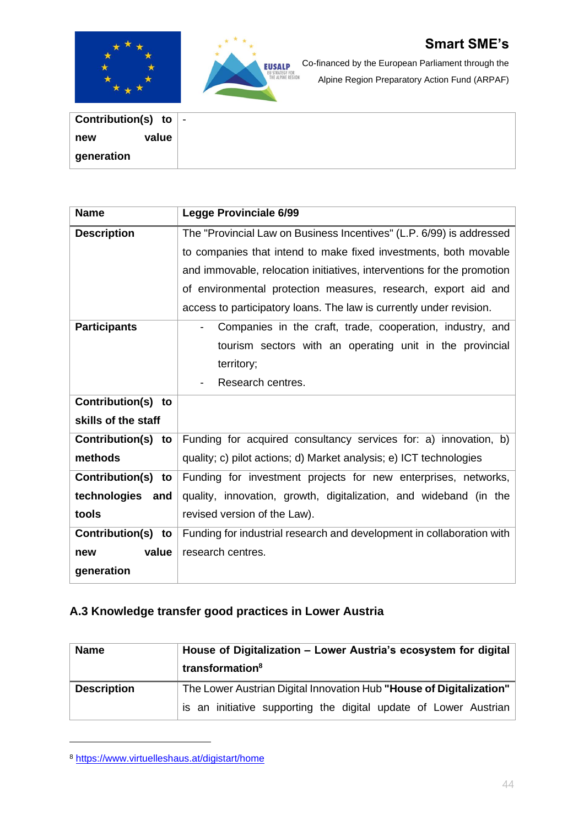



Co-financed by the European Parliament through the Alpine Region Preparatory Action Fund (ARPAF)

| Contribution(s) to $\vert$ - |  |
|------------------------------|--|
| value<br>new                 |  |
|                              |  |
| generation                   |  |

| <b>Name</b>         | <b>Legge Provinciale 6/99</b>                                          |  |  |
|---------------------|------------------------------------------------------------------------|--|--|
| <b>Description</b>  | The "Provincial Law on Business Incentives" (L.P. 6/99) is addressed   |  |  |
|                     | to companies that intend to make fixed investments, both movable       |  |  |
|                     | and immovable, relocation initiatives, interventions for the promotion |  |  |
|                     | of environmental protection measures, research, export aid and         |  |  |
|                     | access to participatory loans. The law is currently under revision.    |  |  |
| <b>Participants</b> | Companies in the craft, trade, cooperation, industry, and              |  |  |
|                     | tourism sectors with an operating unit in the provincial               |  |  |
|                     | territory;                                                             |  |  |
|                     | Research centres.                                                      |  |  |
| Contribution(s) to  |                                                                        |  |  |
| skills of the staff |                                                                        |  |  |
| Contribution(s) to  | Funding for acquired consultancy services for: a) innovation, b)       |  |  |
| methods             | quality; c) pilot actions; d) Market analysis; e) ICT technologies     |  |  |
| Contribution(s) to  | Funding for investment projects for new enterprises, networks,         |  |  |
| technologies<br>and | quality, innovation, growth, digitalization, and wideband (in the      |  |  |
| tools               | revised version of the Law).                                           |  |  |
| Contribution(s) to  | Funding for industrial research and development in collaboration with  |  |  |
| value<br>new        | research centres.                                                      |  |  |
| generation          |                                                                        |  |  |

# <span id="page-43-0"></span>**A.3 Knowledge transfer good practices in Lower Austria**

| <b>Name</b>        | House of Digitalization - Lower Austria's ecosystem for digital     |  |  |
|--------------------|---------------------------------------------------------------------|--|--|
|                    | transformation <sup>8</sup>                                         |  |  |
| <b>Description</b> | The Lower Austrian Digital Innovation Hub "House of Digitalization" |  |  |
|                    | is an initiative supporting the digital update of Lower Austrian    |  |  |

<sup>8</sup> <https://www.virtuelleshaus.at/digistart/home>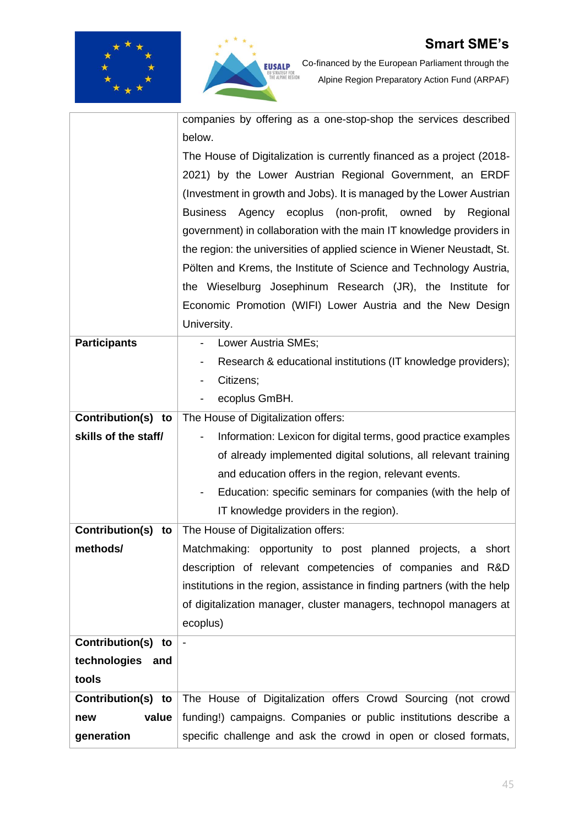



Co-financed by the European Parliament through the Alpine Region Preparatory Action Fund (ARPAF)

|                       | companies by offering as a one-stop-shop the services described                            |
|-----------------------|--------------------------------------------------------------------------------------------|
|                       | below.                                                                                     |
|                       | The House of Digitalization is currently financed as a project (2018-                      |
|                       | 2021) by the Lower Austrian Regional Government, an ERDF                                   |
|                       | (Investment in growth and Jobs). It is managed by the Lower Austrian                       |
|                       | <b>Business</b><br>ecoplus<br>(non-profit, owned<br>Regional<br>Agency<br>by               |
|                       | government) in collaboration with the main IT knowledge providers in                       |
|                       | the region: the universities of applied science in Wiener Neustadt, St.                    |
|                       | Pölten and Krems, the Institute of Science and Technology Austria,                         |
|                       | the Wieselburg Josephinum Research (JR), the Institute for                                 |
|                       | Economic Promotion (WIFI) Lower Austria and the New Design                                 |
|                       | University.                                                                                |
| <b>Participants</b>   | Lower Austria SMEs;                                                                        |
|                       | Research & educational institutions (IT knowledge providers);                              |
|                       | Citizens;                                                                                  |
|                       | ecoplus GmBH.                                                                              |
| Contribution(s) to    | The House of Digitalization offers:                                                        |
| skills of the staff/  | Information: Lexicon for digital terms, good practice examples<br>$\overline{\phantom{a}}$ |
|                       | of already implemented digital solutions, all relevant training                            |
|                       | and education offers in the region, relevant events.                                       |
|                       | Education: specific seminars for companies (with the help of                               |
|                       | IT knowledge providers in the region).                                                     |
| Contribution(s)<br>to | The House of Digitalization offers:                                                        |
| methods/              | Matchmaking: opportunity to post planned<br>projects,<br>a short                           |
|                       | description of relevant competencies of companies and R&D                                  |
|                       | institutions in the region, assistance in finding partners (with the help                  |
|                       | of digitalization manager, cluster managers, technopol managers at                         |
|                       | ecoplus)                                                                                   |
| Contribution(s)<br>to | $\overline{\phantom{a}}$                                                                   |
| technologies<br>and   |                                                                                            |
| tools                 |                                                                                            |
| Contribution(s) to    | The House of Digitalization offers Crowd Sourcing (not crowd                               |
| value<br>new          | funding!) campaigns. Companies or public institutions describe a                           |
| generation            | specific challenge and ask the crowd in open or closed formats,                            |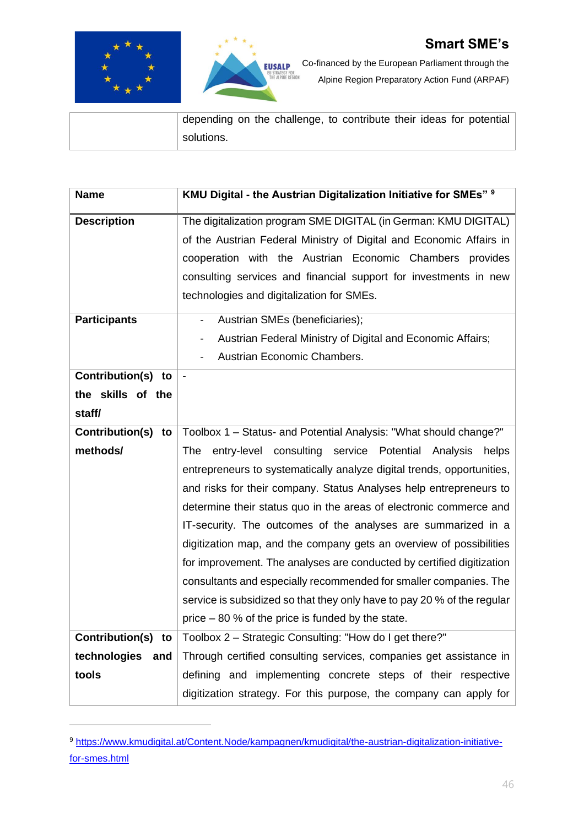



| depending on the challenge, to contribute their ideas for potential |
|---------------------------------------------------------------------|
| solutions.                                                          |

| <b>Name</b>           | KMU Digital - the Austrian Digitalization Initiative for SMEs" 9        |
|-----------------------|-------------------------------------------------------------------------|
| <b>Description</b>    | The digitalization program SME DIGITAL (in German: KMU DIGITAL)         |
|                       | of the Austrian Federal Ministry of Digital and Economic Affairs in     |
|                       | cooperation with the Austrian Economic Chambers provides                |
|                       | consulting services and financial support for investments in new        |
|                       | technologies and digitalization for SMEs.                               |
| <b>Participants</b>   | Austrian SMEs (beneficiaries);<br>$\overline{\phantom{a}}$              |
|                       | Austrian Federal Ministry of Digital and Economic Affairs;<br>-         |
|                       | Austrian Economic Chambers.                                             |
| Contribution(s) to    |                                                                         |
| the skills of the     |                                                                         |
| staff/                |                                                                         |
| Contribution(s)<br>to | Toolbox 1 - Status- and Potential Analysis: "What should change?"       |
| methods/              | entry-level consulting service Potential<br>The<br>Analysis<br>helps    |
|                       | entrepreneurs to systematically analyze digital trends, opportunities,  |
|                       | and risks for their company. Status Analyses help entrepreneurs to      |
|                       | determine their status quo in the areas of electronic commerce and      |
|                       | IT-security. The outcomes of the analyses are summarized in a           |
|                       | digitization map, and the company gets an overview of possibilities     |
|                       | for improvement. The analyses are conducted by certified digitization   |
|                       | consultants and especially recommended for smaller companies. The       |
|                       | service is subsidized so that they only have to pay 20 % of the regular |
|                       | price $-80$ % of the price is funded by the state.                      |
| Contribution(s) to    | Toolbox 2 - Strategic Consulting: "How do I get there?"                 |
| technologies<br>and   | Through certified consulting services, companies get assistance in      |
| tools                 | defining and implementing concrete steps of their respective            |
|                       | digitization strategy. For this purpose, the company can apply for      |

<sup>9</sup> [https://www.kmudigital.at/Content.Node/kampagnen/kmudigital/the-austrian-digitalization-initiative](https://www.kmudigital.at/Content.Node/kampagnen/kmudigital/the-austrian-digitalization-initiative-for-smes.html)[for-smes.html](https://www.kmudigital.at/Content.Node/kampagnen/kmudigital/the-austrian-digitalization-initiative-for-smes.html)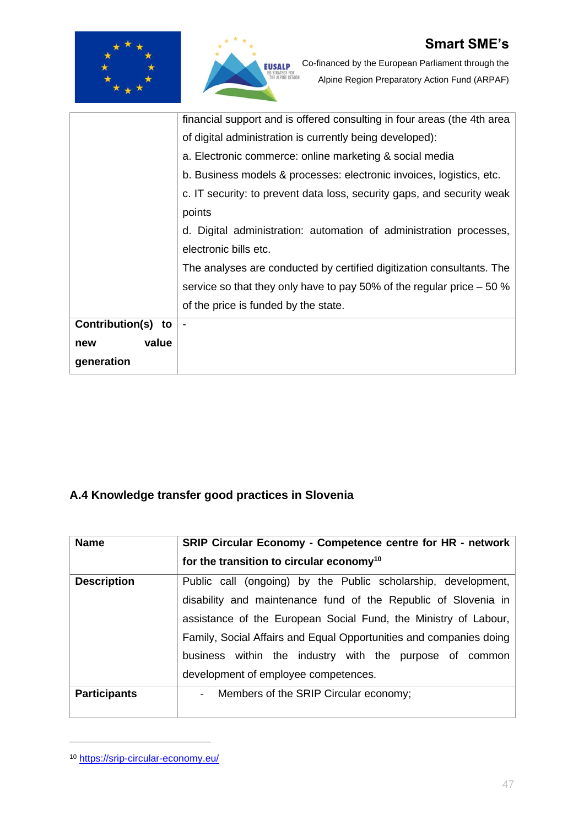



**EUSALP** Co-financed by the European Parliament through the<br>Correspondence of the Contract Action Fund (ARPAF) Alpine Region Preparatory Action Fund (ARPAF)

|                       | financial support and is offered consulting in four areas (the 4th area |
|-----------------------|-------------------------------------------------------------------------|
|                       | of digital administration is currently being developed):                |
|                       | a. Electronic commerce: online marketing & social media                 |
|                       | b. Business models & processes: electronic invoices, logistics, etc.    |
|                       | c. IT security: to prevent data loss, security gaps, and security weak  |
|                       | points                                                                  |
|                       | d. Digital administration: automation of administration processes,      |
|                       | electronic bills etc.                                                   |
|                       | The analyses are conducted by certified digitization consultants. The   |
|                       | service so that they only have to pay 50% of the regular price $-50\%$  |
|                       | of the price is funded by the state.                                    |
| Contribution(s)<br>to |                                                                         |
| value<br>new          |                                                                         |
| generation            |                                                                         |

# <span id="page-46-0"></span>**A.4 Knowledge transfer good practices in Slovenia**

| <b>Name</b>         | SRIP Circular Economy - Competence centre for HR - network         |
|---------------------|--------------------------------------------------------------------|
|                     | for the transition to circular economy <sup>10</sup>               |
| <b>Description</b>  | Public call (ongoing) by the Public scholarship, development,      |
|                     | disability and maintenance fund of the Republic of Slovenia in     |
|                     | assistance of the European Social Fund, the Ministry of Labour,    |
|                     | Family, Social Affairs and Equal Opportunities and companies doing |
|                     | business within the industry with the purpose of common            |
|                     | development of employee competences.                               |
| <b>Participants</b> | - Members of the SRIP Circular economy;                            |
|                     |                                                                    |

<sup>10</sup> <https://srip-circular-economy.eu/>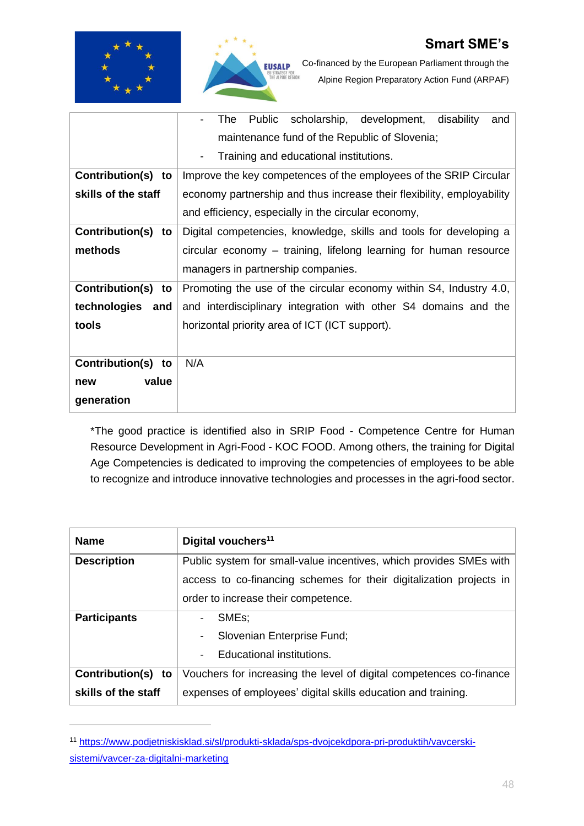



|                       | The<br>Public scholarship, development, disability<br>and<br>$\overline{\phantom{0}}$ |
|-----------------------|---------------------------------------------------------------------------------------|
|                       | maintenance fund of the Republic of Slovenia;                                         |
|                       | Training and educational institutions.<br>۰                                           |
| Contribution(s) to    | Improve the key competences of the employees of the SRIP Circular                     |
| skills of the staff   | economy partnership and thus increase their flexibility, employability                |
|                       | and efficiency, especially in the circular economy,                                   |
| Contribution(s) to    | Digital competencies, knowledge, skills and tools for developing a                    |
| methods               | circular economy – training, lifelong learning for human resource                     |
|                       | managers in partnership companies.                                                    |
| Contribution(s)<br>to | Promoting the use of the circular economy within S4, Industry 4.0,                    |
| technologies<br>and   | and interdisciplinary integration with other S4 domains and the                       |
| tools                 | horizontal priority area of ICT (ICT support).                                        |
|                       |                                                                                       |
| Contribution(s) to    | N/A                                                                                   |
| value<br>new          |                                                                                       |
| generation            |                                                                                       |

\*The good practice is identified also in SRIP Food - Competence Centre for Human Resource Development in Agri-Food - KOC FOOD. Among others, the training for Digital Age Competencies is dedicated to improving the competencies of employees to be able to recognize and introduce innovative technologies and processes in the agri-food sector.

| <b>Name</b>         | Digital vouchers <sup>11</sup>                                      |
|---------------------|---------------------------------------------------------------------|
| <b>Description</b>  | Public system for small-value incentives, which provides SMEs with  |
|                     | access to co-financing schemes for their digitalization projects in |
|                     | order to increase their competence.                                 |
| <b>Participants</b> | SME <sub>s</sub> ;                                                  |
|                     | Slovenian Enterprise Fund;<br>$\overline{\phantom{0}}$              |
|                     | Educational institutions.                                           |
| Contribution(s) to  | Vouchers for increasing the level of digital competences co-finance |
| skills of the staff | expenses of employees' digital skills education and training.       |

<sup>11</sup> [https://www.podjetniskisklad.si/sl/produkti-sklada/sps-dvojcekdpora-pri-produktih/vavcerski](https://www.podjetniskisklad.si/sl/produkti-sklada/sps-dvojcekdpora-pri-produktih/vavcerski-sistemi/vavcer-za-digitalni-marketing)[sistemi/vavcer-za-digitalni-marketing](https://www.podjetniskisklad.si/sl/produkti-sklada/sps-dvojcekdpora-pri-produktih/vavcerski-sistemi/vavcer-za-digitalni-marketing)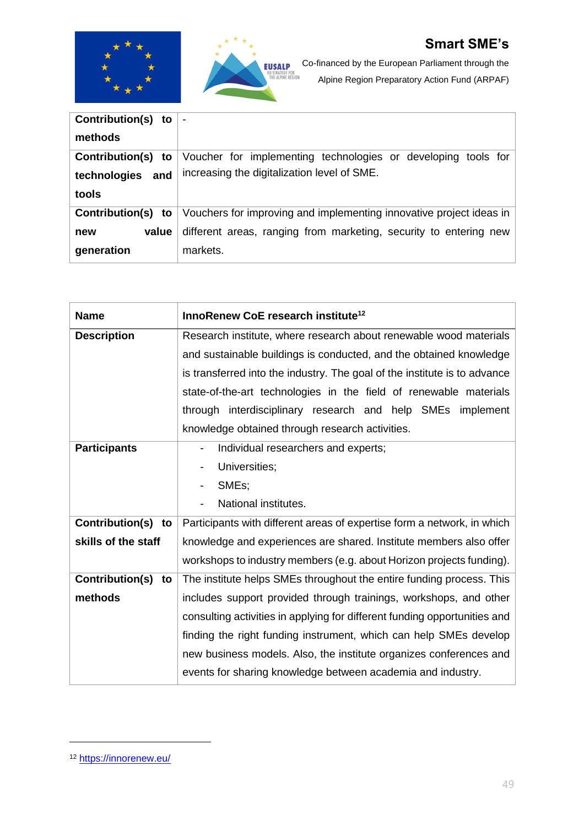



| <b>Contribution(s)</b><br>to |                                                                     |
|------------------------------|---------------------------------------------------------------------|
| methods                      |                                                                     |
| Contribution(s) to           | Voucher for implementing technologies or developing tools for       |
| technologies<br>and          | increasing the digitalization level of SME.                         |
| tools                        |                                                                     |
| Contribution(s) to           | Vouchers for improving and implementing innovative project ideas in |
| value<br>new                 | different areas, ranging from marketing, security to entering new   |
| generation                   | markets.                                                            |

| <b>Name</b>           | InnoRenew CoE research institute <sup>12</sup>                            |
|-----------------------|---------------------------------------------------------------------------|
| <b>Description</b>    | Research institute, where research about renewable wood materials         |
|                       | and sustainable buildings is conducted, and the obtained knowledge        |
|                       | is transferred into the industry. The goal of the institute is to advance |
|                       | state-of-the-art technologies in the field of renewable materials         |
|                       | through interdisciplinary research and help SMEs implement                |
|                       | knowledge obtained through research activities.                           |
| <b>Participants</b>   | Individual researchers and experts;                                       |
|                       | Universities;                                                             |
|                       | SMEs;                                                                     |
|                       | National institutes.                                                      |
| Contribution(s) to    | Participants with different areas of expertise form a network, in which   |
| skills of the staff   | knowledge and experiences are shared. Institute members also offer        |
|                       | workshops to industry members (e.g. about Horizon projects funding).      |
| Contribution(s)<br>to | The institute helps SMEs throughout the entire funding process. This      |
| methods               | includes support provided through trainings, workshops, and other         |
|                       | consulting activities in applying for different funding opportunities and |
|                       | finding the right funding instrument, which can help SMEs develop         |
|                       | new business models. Also, the institute organizes conferences and        |
|                       | events for sharing knowledge between academia and industry.               |

<sup>12</sup> <https://innorenew.eu/>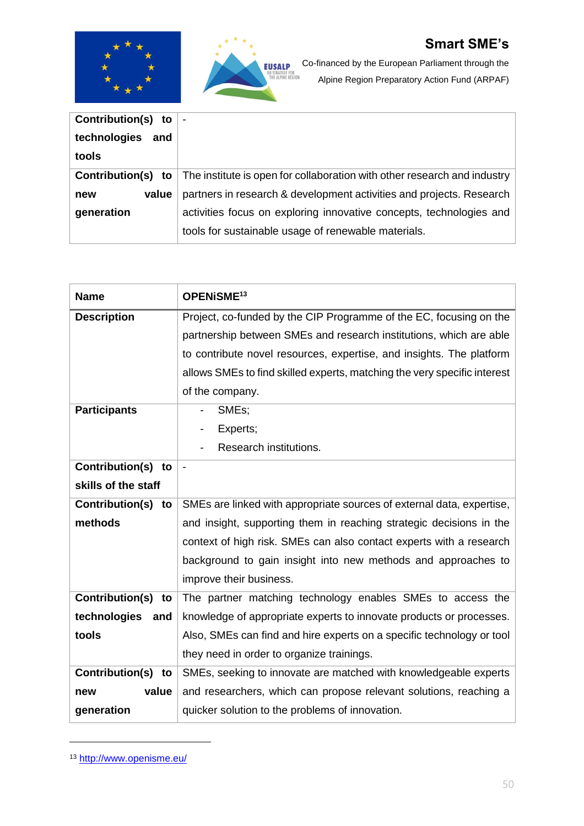



| Contribution(s) to  |                                                                          |
|---------------------|--------------------------------------------------------------------------|
| technologies<br>and |                                                                          |
| tools               |                                                                          |
| Contribution(s) to  | The institute is open for collaboration with other research and industry |
| value<br>new        | partners in research & development activities and projects. Research     |
| generation          | activities focus on exploring innovative concepts, technologies and      |
|                     | tools for sustainable usage of renewable materials.                      |

| <b>Name</b>           | OPENISME <sup>13</sup>                                                   |
|-----------------------|--------------------------------------------------------------------------|
| <b>Description</b>    | Project, co-funded by the CIP Programme of the EC, focusing on the       |
|                       | partnership between SMEs and research institutions, which are able       |
|                       | to contribute novel resources, expertise, and insights. The platform     |
|                       | allows SMEs to find skilled experts, matching the very specific interest |
|                       | of the company.                                                          |
| <b>Participants</b>   | SMEs;                                                                    |
|                       | Experts;                                                                 |
|                       | Research institutions.                                                   |
| Contribution(s)<br>to |                                                                          |
| skills of the staff   |                                                                          |
| Contribution(s)<br>to | SMEs are linked with appropriate sources of external data, expertise,    |
| methods               | and insight, supporting them in reaching strategic decisions in the      |
|                       | context of high risk. SMEs can also contact experts with a research      |
|                       | background to gain insight into new methods and approaches to            |
|                       | improve their business.                                                  |
| Contribution(s)<br>to | The partner matching technology enables SMEs to access the               |
| technologies<br>and   | knowledge of appropriate experts to innovate products or processes.      |
| tools                 | Also, SMEs can find and hire experts on a specific technology or tool    |
|                       | they need in order to organize trainings.                                |
| Contribution(s)<br>to | SMEs, seeking to innovate are matched with knowledgeable experts         |
| value<br>new          | and researchers, which can propose relevant solutions, reaching a        |
| generation            | quicker solution to the problems of innovation.                          |

<sup>13</sup> <http://www.openisme.eu/>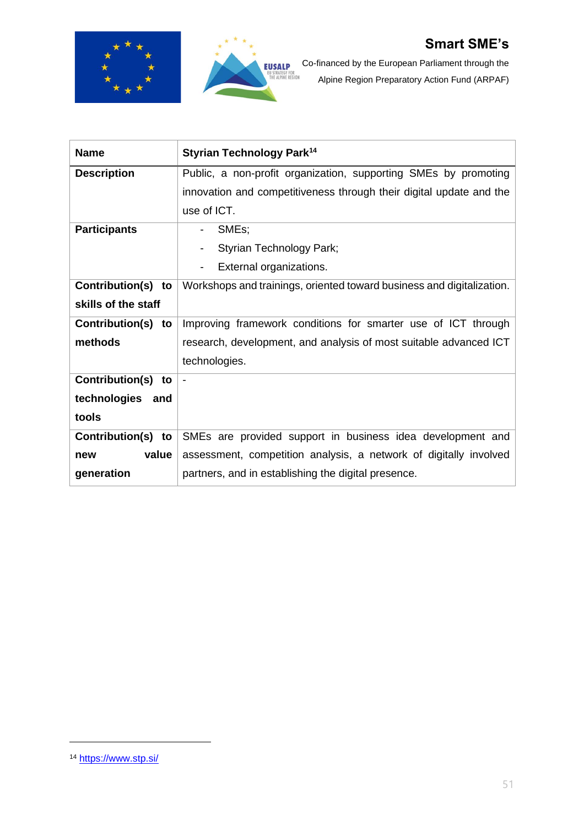



Co-financed by the European Parliament through the Alpine Region Preparatory Action Fund (ARPAF)

| <b>Name</b>                  | <b>Styrian Technology Park<sup>14</sup></b>                           |
|------------------------------|-----------------------------------------------------------------------|
| <b>Description</b>           | Public, a non-profit organization, supporting SMEs by promoting       |
|                              | innovation and competitiveness through their digital update and the   |
|                              | use of ICT.                                                           |
| <b>Participants</b>          | SME <sub>s</sub> ;<br>$\overline{\phantom{a}}$                        |
|                              | Styrian Technology Park;                                              |
|                              | External organizations.<br>-                                          |
| Contribution(s) to           | Workshops and trainings, oriented toward business and digitalization. |
| skills of the staff          |                                                                       |
| <b>Contribution(s)</b><br>to | Improving framework conditions for smarter use of ICT through         |
| methods                      | research, development, and analysis of most suitable advanced ICT     |
|                              | technologies.                                                         |
| <b>Contribution(s)</b><br>to |                                                                       |
| technologies and             |                                                                       |
| tools                        |                                                                       |
| Contribution(s) to           | SMEs are provided support in business idea development and            |
| value<br>new                 | assessment, competition analysis, a network of digitally involved     |
| generation                   | partners, and in establishing the digital presence.                   |

<sup>14</sup> <https://www.stp.si/>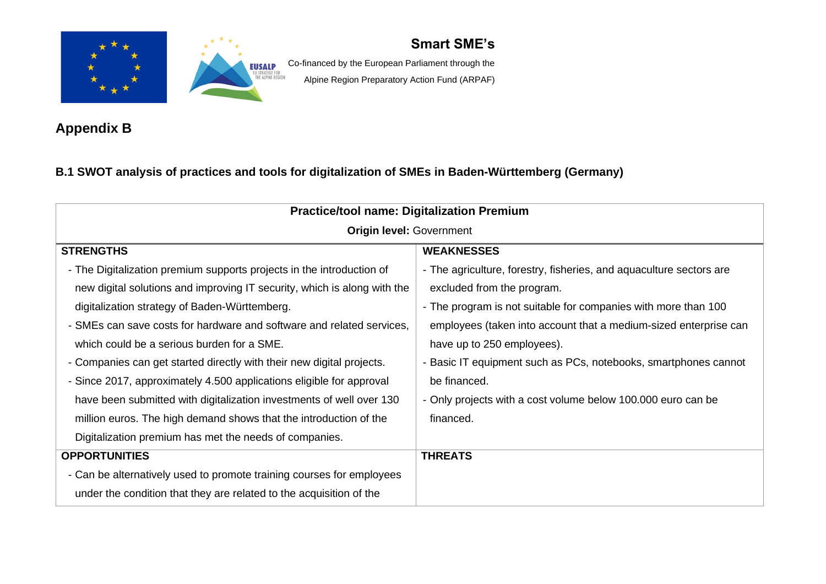



**EUSALP** Co-financed by the European Parliament through the Alpine Region Preparatory Action Fund (ARPAF)

**Appendix B**

### **B.1 SWOT analysis of practices and tools for digitalization of SMEs in Baden-Württemberg (Germany)**

<span id="page-51-1"></span><span id="page-51-0"></span>

| <b>Practice/tool name: Digitalization Premium</b>                                                                                                                                                                                                                                                                                                                                                                                                                                                                                                  |                                                                                                                                                                                                                                                                                                                                                                                                                          |
|----------------------------------------------------------------------------------------------------------------------------------------------------------------------------------------------------------------------------------------------------------------------------------------------------------------------------------------------------------------------------------------------------------------------------------------------------------------------------------------------------------------------------------------------------|--------------------------------------------------------------------------------------------------------------------------------------------------------------------------------------------------------------------------------------------------------------------------------------------------------------------------------------------------------------------------------------------------------------------------|
| <b>Origin level: Government</b>                                                                                                                                                                                                                                                                                                                                                                                                                                                                                                                    |                                                                                                                                                                                                                                                                                                                                                                                                                          |
| <b>STRENGTHS</b>                                                                                                                                                                                                                                                                                                                                                                                                                                                                                                                                   | <b>WEAKNESSES</b>                                                                                                                                                                                                                                                                                                                                                                                                        |
| - The Digitalization premium supports projects in the introduction of<br>new digital solutions and improving IT security, which is along with the<br>digitalization strategy of Baden-Württemberg.<br>- SMEs can save costs for hardware and software and related services,<br>which could be a serious burden for a SME.<br>- Companies can get started directly with their new digital projects.<br>- Since 2017, approximately 4.500 applications eligible for approval<br>have been submitted with digitalization investments of well over 130 | - The agriculture, forestry, fisheries, and aquaculture sectors are<br>excluded from the program.<br>- The program is not suitable for companies with more than 100<br>employees (taken into account that a medium-sized enterprise can<br>have up to 250 employees).<br>- Basic IT equipment such as PCs, notebooks, smartphones cannot<br>be financed.<br>- Only projects with a cost volume below 100.000 euro can be |
| million euros. The high demand shows that the introduction of the<br>Digitalization premium has met the needs of companies.                                                                                                                                                                                                                                                                                                                                                                                                                        | financed.                                                                                                                                                                                                                                                                                                                                                                                                                |
| <b>OPPORTUNITIES</b>                                                                                                                                                                                                                                                                                                                                                                                                                                                                                                                               | <b>THREATS</b>                                                                                                                                                                                                                                                                                                                                                                                                           |
| - Can be alternatively used to promote training courses for employees<br>under the condition that they are related to the acquisition of the                                                                                                                                                                                                                                                                                                                                                                                                       |                                                                                                                                                                                                                                                                                                                                                                                                                          |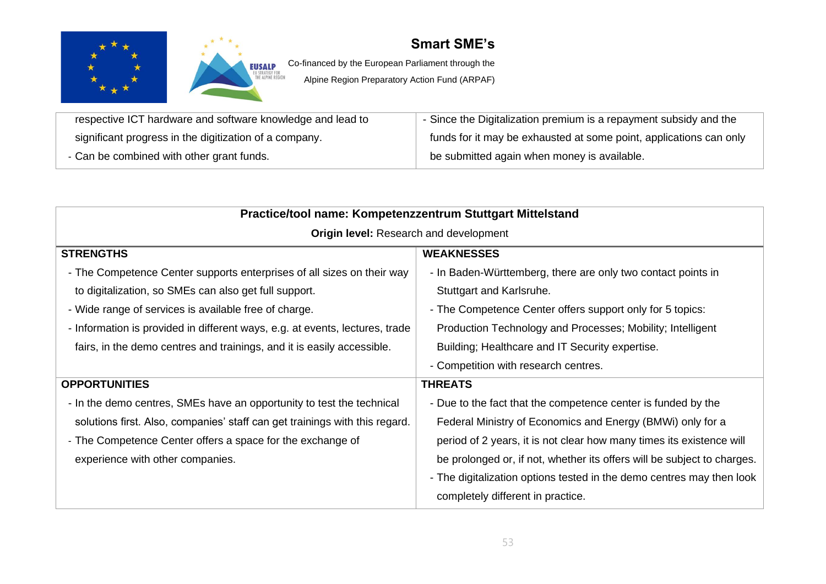



EUSALP Co-financed by the European Parliament through the

| respective ICT hardware and software knowledge and lead to | - Since the Digitalization premium is a repayment subsidy and the  |
|------------------------------------------------------------|--------------------------------------------------------------------|
| significant progress in the digitization of a company.     | funds for it may be exhausted at some point, applications can only |
| - Can be combined with other grant funds.                  | be submitted again when money is available.                        |

| Practice/tool name: Kompetenzzentrum Stuttgart Mittelstand                   |                                                                         |
|------------------------------------------------------------------------------|-------------------------------------------------------------------------|
| <b>Origin level:</b> Research and development                                |                                                                         |
| <b>STRENGTHS</b>                                                             | <b>WEAKNESSES</b>                                                       |
| - The Competence Center supports enterprises of all sizes on their way       | - In Baden-Württemberg, there are only two contact points in            |
| to digitalization, so SMEs can also get full support.                        | Stuttgart and Karlsruhe.                                                |
| - Wide range of services is available free of charge.                        | - The Competence Center offers support only for 5 topics:               |
| - Information is provided in different ways, e.g. at events, lectures, trade | Production Technology and Processes; Mobility; Intelligent              |
| fairs, in the demo centres and trainings, and it is easily accessible.       | Building; Healthcare and IT Security expertise.                         |
|                                                                              | - Competition with research centres.                                    |
| <b>OPPORTUNITIES</b>                                                         | <b>THREATS</b>                                                          |
| - In the demo centres, SMEs have an opportunity to test the technical        | - Due to the fact that the competence center is funded by the           |
| solutions first. Also, companies' staff can get trainings with this regard.  | Federal Ministry of Economics and Energy (BMWi) only for a              |
| - The Competence Center offers a space for the exchange of                   | period of 2 years, it is not clear how many times its existence will    |
| experience with other companies.                                             | be prolonged or, if not, whether its offers will be subject to charges. |
|                                                                              | - The digitalization options tested in the demo centres may then look   |
|                                                                              | completely different in practice.                                       |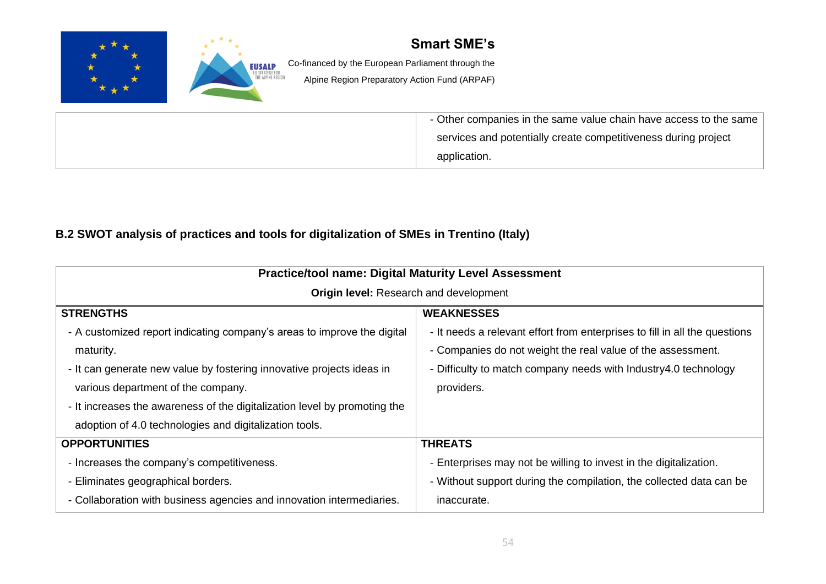

### **B.2 SWOT analysis of practices and tools for digitalization of SMEs in Trentino (Italy)**

<span id="page-53-0"></span>

| <b>Practice/tool name: Digital Maturity Level Assessment</b>              |                                                                            |
|---------------------------------------------------------------------------|----------------------------------------------------------------------------|
| <b>Origin level:</b> Research and development                             |                                                                            |
| <b>STRENGTHS</b>                                                          | <b>WEAKNESSES</b>                                                          |
| - A customized report indicating company's areas to improve the digital   | - It needs a relevant effort from enterprises to fill in all the questions |
| maturity.                                                                 | - Companies do not weight the real value of the assessment.                |
| - It can generate new value by fostering innovative projects ideas in     | - Difficulty to match company needs with Industry4.0 technology            |
| various department of the company.                                        | providers.                                                                 |
| - It increases the awareness of the digitalization level by promoting the |                                                                            |
| adoption of 4.0 technologies and digitalization tools.                    |                                                                            |
| <b>OPPORTUNITIES</b>                                                      | <b>THREATS</b>                                                             |
| - Increases the company's competitiveness.                                | - Enterprises may not be willing to invest in the digitalization.          |
| - Eliminates geographical borders.                                        | - Without support during the compilation, the collected data can be        |
| - Collaboration with business agencies and innovation intermediaries.     | inaccurate.                                                                |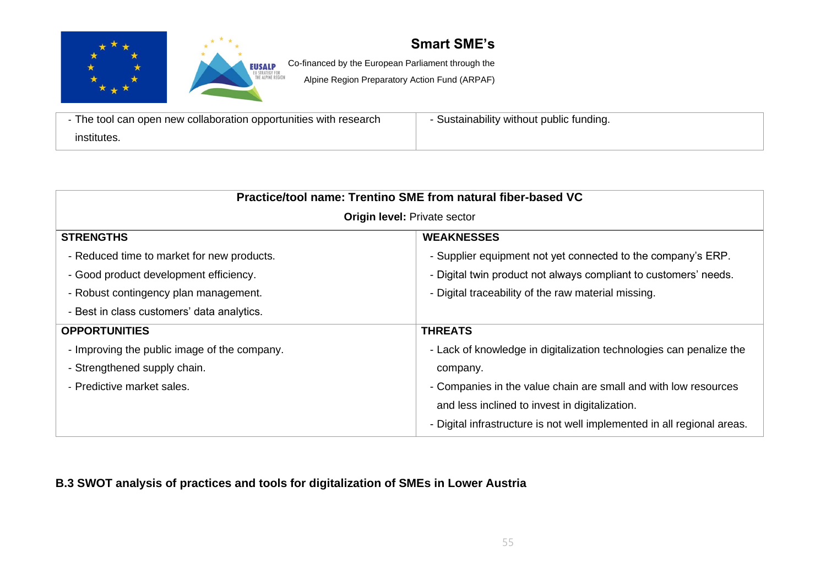



**EUSALP** Co-financed by the European Parliament through the

Alpine Region Preparatory Action Fund (ARPAF)

| - The tool can open new collaboration opportunities with research | - Sustainability without public funding. |
|-------------------------------------------------------------------|------------------------------------------|
| institutes.                                                       |                                          |

| Practice/tool name: Trentino SME from natural fiber-based VC |                                                                         |
|--------------------------------------------------------------|-------------------------------------------------------------------------|
| <b>Origin level: Private sector</b>                          |                                                                         |
| <b>STRENGTHS</b>                                             | <b>WEAKNESSES</b>                                                       |
| - Reduced time to market for new products.                   | - Supplier equipment not yet connected to the company's ERP.            |
| - Good product development efficiency.                       | - Digital twin product not always compliant to customers' needs.        |
| - Robust contingency plan management.                        | - Digital traceability of the raw material missing.                     |
| - Best in class customers' data analytics.                   |                                                                         |
| <b>OPPORTUNITIES</b>                                         | <b>THREATS</b>                                                          |
| - Improving the public image of the company.                 | - Lack of knowledge in digitalization technologies can penalize the     |
| - Strengthened supply chain.                                 | company.                                                                |
| - Predictive market sales.                                   | - Companies in the value chain are small and with low resources         |
|                                                              | and less inclined to invest in digitalization.                          |
|                                                              | - Digital infrastructure is not well implemented in all regional areas. |

### <span id="page-54-0"></span>**B.3 SWOT analysis of practices and tools for digitalization of SMEs in Lower Austria**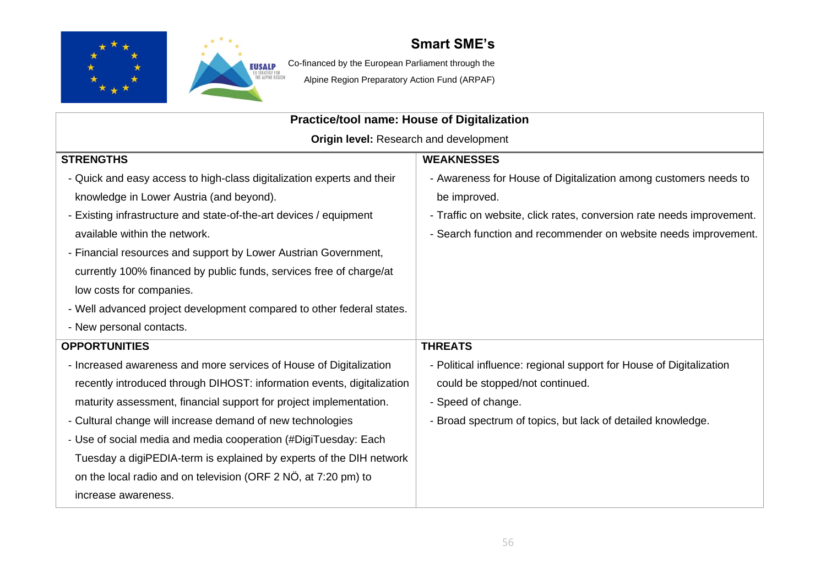



EUSALP Co-financed by the European Parliament through the

| Practice/tool name: House of Digitalization                            |                                                                       |
|------------------------------------------------------------------------|-----------------------------------------------------------------------|
| Origin level: Research and development                                 |                                                                       |
| <b>STRENGTHS</b>                                                       | <b>WEAKNESSES</b>                                                     |
| - Quick and easy access to high-class digitalization experts and their | - Awareness for House of Digitalization among customers needs to      |
| knowledge in Lower Austria (and beyond).                               | be improved.                                                          |
| - Existing infrastructure and state-of-the-art devices / equipment     | - Traffic on website, click rates, conversion rate needs improvement. |
| available within the network.                                          | - Search function and recommender on website needs improvement.       |
| - Financial resources and support by Lower Austrian Government,        |                                                                       |
| currently 100% financed by public funds, services free of charge/at    |                                                                       |
| low costs for companies.                                               |                                                                       |
| - Well advanced project development compared to other federal states.  |                                                                       |
| - New personal contacts.                                               |                                                                       |
| <b>OPPORTUNITIES</b>                                                   | <b>THREATS</b>                                                        |
| - Increased awareness and more services of House of Digitalization     | - Political influence: regional support for House of Digitalization   |
| recently introduced through DIHOST: information events, digitalization | could be stopped/not continued.                                       |
| maturity assessment, financial support for project implementation.     | - Speed of change.                                                    |
| - Cultural change will increase demand of new technologies             | - Broad spectrum of topics, but lack of detailed knowledge.           |
| - Use of social media and media cooperation (#DigiTuesday: Each        |                                                                       |
| Tuesday a digiPEDIA-term is explained by experts of the DIH network    |                                                                       |
| on the local radio and on television (ORF 2 NÖ, at 7:20 pm) to         |                                                                       |
| increase awareness.                                                    |                                                                       |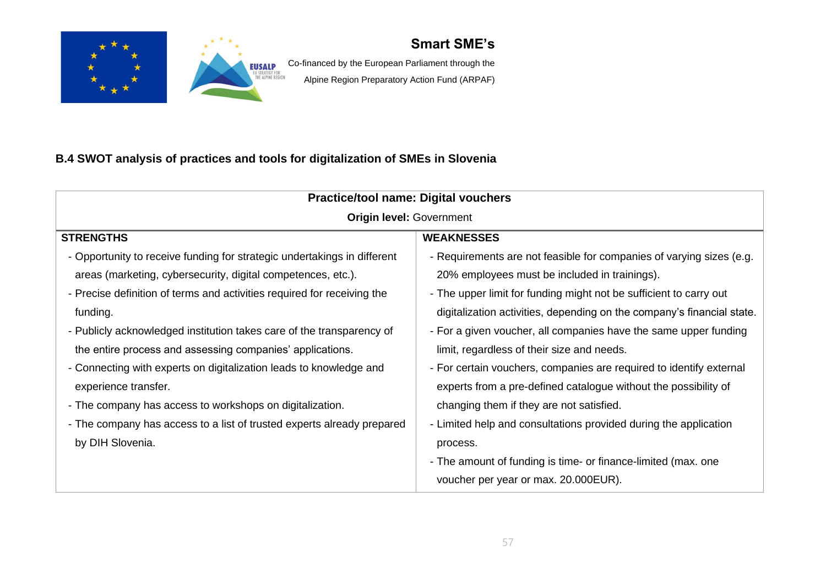



**EUSALP** Co-financed by the European Parliament through the Alpine Region Preparatory Action Fund (ARPAF)

### **B.4 SWOT analysis of practices and tools for digitalization of SMEs in Slovenia**

<span id="page-56-0"></span>

| <b>Practice/tool name: Digital vouchers</b>                              |                                                                        |
|--------------------------------------------------------------------------|------------------------------------------------------------------------|
| <b>Origin level: Government</b>                                          |                                                                        |
| <b>STRENGTHS</b>                                                         | <b>WEAKNESSES</b>                                                      |
| - Opportunity to receive funding for strategic undertakings in different | - Requirements are not feasible for companies of varying sizes (e.g.   |
| areas (marketing, cybersecurity, digital competences, etc.).             | 20% employees must be included in trainings).                          |
| - Precise definition of terms and activities required for receiving the  | - The upper limit for funding might not be sufficient to carry out     |
| funding.                                                                 | digitalization activities, depending on the company's financial state. |
| - Publicly acknowledged institution takes care of the transparency of    | - For a given voucher, all companies have the same upper funding       |
| the entire process and assessing companies' applications.                | limit, regardless of their size and needs.                             |
| - Connecting with experts on digitalization leads to knowledge and       | - For certain vouchers, companies are required to identify external    |
| experience transfer.                                                     | experts from a pre-defined catalogue without the possibility of        |
| - The company has access to workshops on digitalization.                 | changing them if they are not satisfied.                               |
| - The company has access to a list of trusted experts already prepared   | - Limited help and consultations provided during the application       |
| by DIH Slovenia.                                                         | process.                                                               |
|                                                                          | - The amount of funding is time- or finance-limited (max. one          |
|                                                                          | voucher per year or max. 20.000EUR).                                   |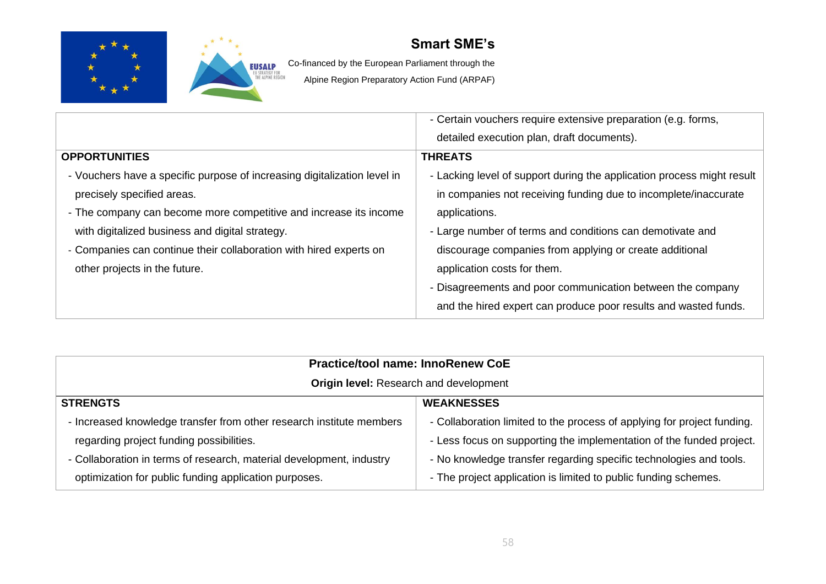



EUSALP Co-financed by the European Parliament through the

|                                                                          | - Certain vouchers require extensive preparation (e.g. forms,          |
|--------------------------------------------------------------------------|------------------------------------------------------------------------|
|                                                                          | detailed execution plan, draft documents).                             |
| <b>OPPORTUNITIES</b>                                                     | <b>THREATS</b>                                                         |
| - Vouchers have a specific purpose of increasing digitalization level in | - Lacking level of support during the application process might result |
| precisely specified areas.                                               | in companies not receiving funding due to incomplete/inaccurate        |
| - The company can become more competitive and increase its income        | applications.                                                          |
| with digitalized business and digital strategy.                          | - Large number of terms and conditions can demotivate and              |
| - Companies can continue their collaboration with hired experts on       | discourage companies from applying or create additional                |
| other projects in the future.                                            | application costs for them.                                            |
|                                                                          | - Disagreements and poor communication between the company             |
|                                                                          | and the hired expert can produce poor results and wasted funds.        |

| <b>Practice/tool name: InnoRenew CoE</b>                             |                                                                         |
|----------------------------------------------------------------------|-------------------------------------------------------------------------|
| Origin level: Research and development                               |                                                                         |
| <b>STRENGTS</b>                                                      | <b>WEAKNESSES</b>                                                       |
| - Increased knowledge transfer from other research institute members | - Collaboration limited to the process of applying for project funding. |
| regarding project funding possibilities.                             | - Less focus on supporting the implementation of the funded project.    |
| - Collaboration in terms of research, material development, industry | - No knowledge transfer regarding specific technologies and tools.      |
| optimization for public funding application purposes.                | - The project application is limited to public funding schemes.         |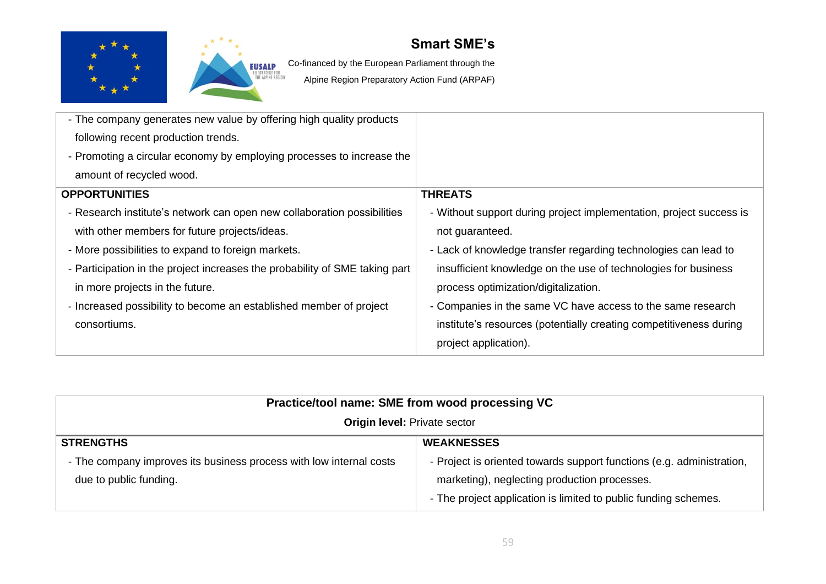



EUSALP Co-financed by the European Parliament through the

| - The company generates new value by offering high quality products         |                                                                     |
|-----------------------------------------------------------------------------|---------------------------------------------------------------------|
| following recent production trends.                                         |                                                                     |
| - Promoting a circular economy by employing processes to increase the       |                                                                     |
| amount of recycled wood.                                                    |                                                                     |
| <b>OPPORTUNITIES</b>                                                        | <b>THREATS</b>                                                      |
| - Research institute's network can open new collaboration possibilities     | - Without support during project implementation, project success is |
| with other members for future projects/ideas.                               | not guaranteed.                                                     |
| - More possibilities to expand to foreign markets.                          | - Lack of knowledge transfer regarding technologies can lead to     |
| - Participation in the project increases the probability of SME taking part | insufficient knowledge on the use of technologies for business      |
| in more projects in the future.                                             | process optimization/digitalization.                                |
| - Increased possibility to become an established member of project          | - Companies in the same VC have access to the same research         |
| consortiums.                                                                | institute's resources (potentially creating competitiveness during  |
|                                                                             | project application).                                               |

| Practice/tool name: SME from wood processing VC                     |                                                                       |
|---------------------------------------------------------------------|-----------------------------------------------------------------------|
| <b>Origin level: Private sector</b>                                 |                                                                       |
| <b>STRENGTHS</b>                                                    | <b>WEAKNESSES</b>                                                     |
| - The company improves its business process with low internal costs | - Project is oriented towards support functions (e.g. administration, |
| due to public funding.                                              | marketing), neglecting production processes.                          |
|                                                                     | - The project application is limited to public funding schemes.       |